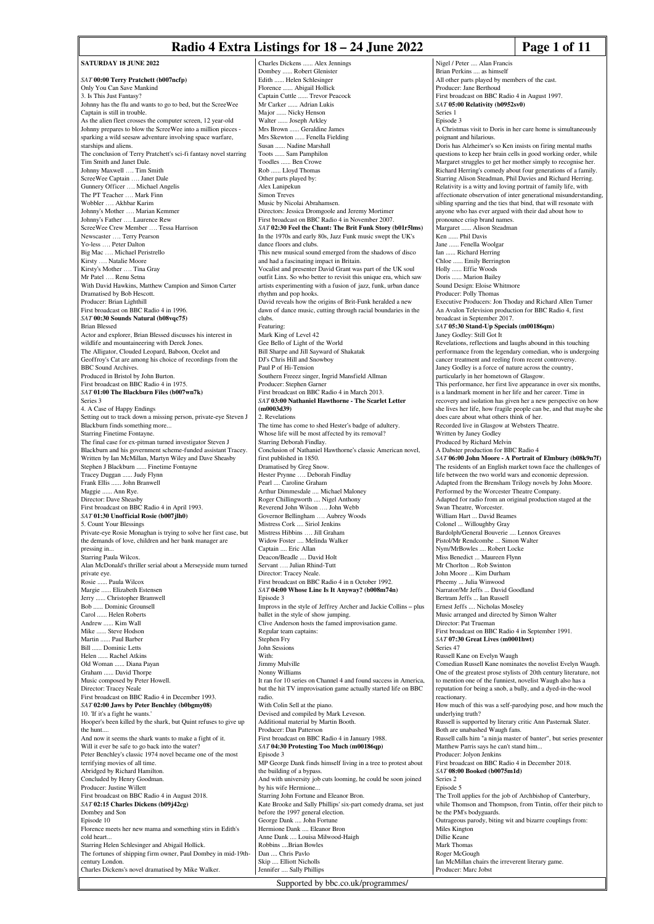# **Radio 4 Extra Listings for 18 – 24 June 2022 Page 1 of 11**

**SATURDAY 18 HINE 2022** *SAT* **00:00 Terry Pratchett (b007ncfp)** Only You Can Save Mankind 3. Is This Just Fantasy? Johnny has the flu and wants to go to bed, but the ScreeWee Captain is still in trouble. As the alien fleet crosses the computer screen, 12 year-old Johnny prepares to blow the ScreeWee into a million pieces sparking a wild seesaw adventure involving space warfare, starships and aliens. The conclusion of Terry Pratchett's sci-fi fantasy novel starring Tim Smith and Janet Dale. Johnny Maxwell …. Tim Smith ScreeWee Captain …. Janet Dale Gunnery Officer …. Michael Angelis The PT Teacher …. Mark Finn Wobbler …. Akhbar Karim Johnny's Mother …. Marian Kemmer Johnny's Father …. Laurence Rew ScreeWee Crew Member …. Tessa Harrison Newscaster …. Terry Pearson Yo-less …. Peter Dalton Big Mac .... Michael Peristrello Kirsty …. Natalie Moore Kirsty's Mother …. Tina Gray Mr Patel …. Renu Setna With David Hawkins, Matthew Campion and Simon Carter Dramatised by Bob Hescott. Producer: Brian Lighthill First broadcast on BBC Radio 4 in 1996. *SAT* **00:30 Sounds Natural (b08vqc75)** Brian Blessed Actor and explorer, Brian Blessed discusses his interest in wildlife and mountaineering with Derek Jones. The Alligator, Clouded Leopard, Baboon, Ocelot and Geoffroy's Cat are among his choice of recordings from the BBC Sound Archives. Produced in Bristol by John Burton. First broadcast on BBC Radio 4 in 1975. *SAT* **01:00 The Blackburn Files (b007wn7k)** Series 3 4. A Case of Happy Endings Setting out to track down a missing person, private-eye Steven J Blackburn finds something more... Starring Finetime Fontayne. The final case for ex-pitman turned investigator Steven J Blackburn and his government scheme-funded assistant Tracey. Written by Ian McMillan, Martyn Wiley and Dave Sheasby Stephen J Blackburn ...... Finetime Fontayne Tracey Duggan ...... Judy Flynn Frank Ellis ...... John Branwell Maggie ...... Ann Rye. Director: Dave Sheasby First broadcast on BBC Radio 4 in April 1993. *SAT* **01:30 Unofficial Rosie (b007jlh0)** 5. Count Your Blessings Private-eye Rosie Monaghan is trying to solve her first case, but the demands of love, children and her bank manager are pressing in... Starring Paula Wilcox. Alan McDonald's thriller serial about a Merseyside mum turned private eye. Rosie ...... Paula Wilcox Margie ...... Elizabeth Estensen Jerry ...... Christopher Bramwell Bob ...... Dominic Grounsell Carol ...... Helen Roberts Andrew ...... Kim Wall Mike ...... Steve Hodson Martin ...... Paul Barber Bill ...... Dominic Letts Helen ...... Rachel Atkins Old Woman ...... Diana Payan Graham ...... David Thorpe Music composed by Peter Howell. Director: Tracey Neale First broadcast on BBC Radio 4 in December 1993. *SAT* **02:00 Jaws by Peter Benchley (b0bgmy08)** 10. 'If it's a fight he wants.' Hooper's been killed by the shark, but Quint refuses to give up the hunt.... And now it seems the shark wants to make a fight of it. Will it ever be safe to go back into the water? Peter Benchley's classic 1974 novel became one of the most terrifying movies of all time. Abridged by Richard Hamilton. Concluded by Henry Goodman. Producer: Justine Willett First broadcast on BBC Radio 4 in August 2018. *SAT* **02:15 Charles Dickens (b09j42cg)** Dombey and Son Episode 10 Florence meets her new mama and something stirs in Edith's cold heart. Starring Helen Schlesinger and Abigail Hollick. The fortunes of shipping firm owner, Paul Dombey in mid-19thcentury London. Charles Dickens's novel dramatised by Mike Walker. Jennifer .... Sally Phillips

Charles Dickens ...... Alex Jennings Dombey ...... Robert Glenister .. Helen Schlesinger Florence ...... Abigail Hollick Captain Cuttle ...... Trevor Peacock Mr Carker ...... Adrian Lukis Major ...... Nicky Henson Walter ...... Joseph Arkley Mrs Brown ...... Geraldine James Mrs Skewton ...... Fenella Fielding Susan ...... Nadine Marshall Toots ...... Sam Pamphilon Toodles ...... Ben Crowe Rob ...... Lloyd Thomas Other parts played by: Alex Lanipekun Simon Treves Music by Nicolai Abrahamsen. Directors: Jessica Dromgoole and Jeremy Mortimer First broadcast on BBC Radio 4 in November 2007. *SAT* **02:30 Feel the Chant: The Brit Funk Story (b01r5lms)** In the 1970s and early 80s, Jazz Funk music swept the UK's dance floors and clubs. This new musical sound emerged from the shadows of disco and had a fascinating impact in Britain. Vocalist and presenter David Grant was part of the UK soul outfit Linx. So who better to revisit this unique era, which saw artists experimenting with a fusion of jazz, funk, urban dance rhythm and pop hooks. David reveals how the origins of Brit-Funk heralded a new dawn of dance music, cutting through racial boundaries in the clubs. Featuring: Mark King of Level 42 Gee Bello of Light of the World Bill Sharpe and Jill Sayward of Shakatak DJ's Chris Hill and Snowboy Paul P of Hi-Tension Southern Freeez singer, Ingrid Mansfield Allman Producer: Stephen Garner First broadcast on BBC Radio 4 in March 2013. *SAT* **03:00 Nathaniel Hawthorne - The Scarlet Letter (m0003d39)** 2. Revelations The time has come to shed Hester's badge of adultery. Whose life will be most affected by its removal? Starring Deborah Findlay. Conclusion of Nathaniel Hawthorne's classic American novel, first published in 1850. Dramatised by Greg Snow. Hester Prynne …. Deborah Findlay Pearl .... Caroline Graham Arthur Dimmesdale .... Michael Maloney Roger Chillingworth .... Nigel Anthony Reverend John Wilson …. John Webb Governor Bellingham …. Aubrey Woods Mistress Cork .... Siriol Jenkins Mistress Hibbins …. Jill Graham Widow Foster .... Melinda Walker Captain .... Eric Allan Deacon/Beadle .... David Holt Servant …. Julian Rhind-Tutt Director: Tracey Neale. First broadcast on BBC Radio 4 in n October 1992. *SAT* **04:00 Whose Line Is It Anyway? (b008m74n)** Episode 3 Improvs in the style of Jeffrey Archer and Jackie Collins – plus ballet in the style of show jumping. Clive Anderson hosts the famed improvisation game. Regular team captains: Stephen Fry John Sessions With: Jimmy Mulville Nonny Williams It ran for 10 series on Channel 4 and found success in America, but the hit TV improvisation game actually started life on BBC radio. With Colin Sell at the piano. Devised and compiled by Mark Leveson. Additional material by Martin Booth. Producer: Dan Patterson First broadcast on BBC Radio 4 in January 1988. *SAT* **04:30 Protesting Too Much (m00186qp)** Episode 3 MP George Dank finds himself living in a tree to protest about the building of a bypass. And with university job cuts looming, he could be soon joined by his wife Hermione. Starring John Fortune and Eleanor Bron. Kate Brooke and Sally Phillips' six-part comedy drama, set just before the 1997 general election. George Dank .... John Fortune Hermione Dank .... Eleanor Bron Anne Dank .... Louisa Milwood-Haigh Robbins ....Brian Bowles Dan .... Chris Pavlo Skip .... Elliott Nicholls

Supported by bbc.co.uk/programmes/

Nigel / Peter .... Alan Francis Brian Perkins .... as himself All other parts played by members of the cast. Producer: Jane Berthoud First broadcast on BBC Radio 4 in August 1997. *SAT* **05:00 Relativity (b0952sv0)** Series 1 Episode 3 A Christmas visit to Doris in her care home is simultaneously poignant and hilarious. Doris has Alzheimer's so Ken insists on firing mental maths questions to keep her brain cells in good working order, while Margaret struggles to get her mother simply to recognise her. Richard Herring's comedy about four generations of a family. Starring Alison Steadman, Phil Davies and Richard Herring. Relativity is a witty and loving portrait of family life, with affectionate observation of inter generational misunderstanding, sibling sparring and the ties that bind, that will resonate with anyone who has ever argued with their dad about how to pronounce crisp brand names. Margaret ...... Alison Steadman Ken ...... Phil Davis Jane ...... Fenella Woolgar Ian ...... Richard Herring Chloe ...... Emily Berrington Holly ...... Effie Woods Doris ...... Marion Bailey Sound Design: Eloise Whitmore Producer: Polly Thomas Executive Producers: Jon Thoday and Richard Allen Turner An Avalon Television production for BBC Radio 4, first broadcast in September 2017. *SAT* **05:30 Stand-Up Specials (m00186qm)** Janey Godley: Still Got It Revelations, reflections and laughs abound in this touching performance from the legendary comedian, who is undergoing cancer treatment and reeling from recent controversy. Janey Godley is a force of nature across the country, particularly in her hometown of Glasgow. This performance, her first live appearance in over six months, is a landmark moment in her life and her career. Time in recovery and isolation has given her a new perspective on how she lives her life, how fragile people can be, and that maybe she does care about what others think of her. Recorded live in Glasgow at Websters Theatre. Written by Janey Godley Produced by Richard Melvin A Dabster production for BBC Radio 4 *SAT* **06:00 John Moore - A Portrait of Elmbury (b08k9n7f)** The residents of an English market town face the challenges of life between the two world wars and economic depression. Adapted from the Brensham Trilogy novels by John Moore. Performed by the Worcester Theatre Company Adapted for radio from an original production staged at the Swan Theatre, Worcester. William Hart ... David Beames Colonel ... Willoughby Gray Bardolph/General Bouverie .... Lennox Greaves Pistol/Mr Rendcombe ... Simon Walter Nym/MrBowles .... Robert Locke Miss Benedict ... Maureen Flynn Mr Chorlton ... Rob Swinton John Moore ... Kim Durham Pheemy ... Julia Winwood Narrator/Mr Jeffs ... David Goodland Bertram Jeffs ... Ian Russell Ernest Jeffs .... Nicholas Moseley Music arranged and directed by Simon Walter Director: Pat Trueman First broadcast on BBC Radio 4 in September 1991. *SAT* **07:30 Great Lives (m0001hwt)** Series 47 Russell Kane on Evelyn Waugh Comedian Russell Kane nominates the novelist Evelyn Waugh. One of the greatest prose stylists of 20th century literature, not to mention one of the funniest, novelist Waugh also has a reputation for being a snob, a bully, and a dyed-in-the-wool reactionary. How much of this was a self-parodying pose, and how much the underlying truth? Russell is supported by literary critic Ann Pasternak Slater. Both are unabashed Waugh fans. Russell calls him "a ninja master of banter", but series presenter Matthew Parris says he can't stand him... Producer: Jolyon Jenkins First broadcast on BBC Radio 4 in December 2018. *SAT* **08:00 Booked (b0075m1d)** Series 2 Episode 5 The Troll applies for the job of Archbishop of Canterbury, while Thomson and Thompson, from Tintin, offer their pitch to be the PM's bodyguards. Outrageous parody, biting wit and bizarre couplings from: Miles Kington Dillie Keane Mark Thomas Roger McGough Ian McMillan chairs the irreverent literary game.

Producer: Marc Jobst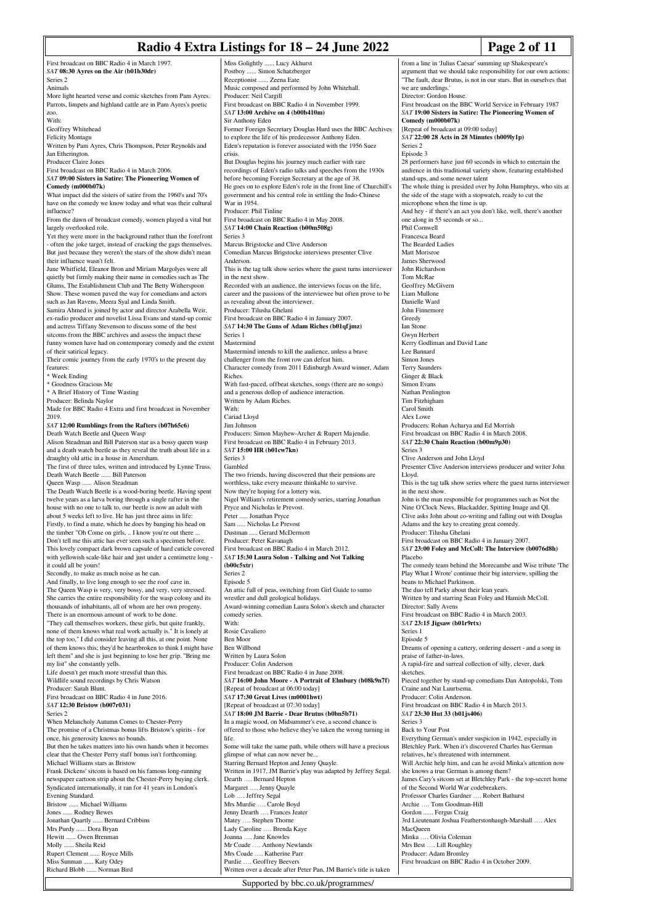**Radio 4 Extra Listings for 18 – 24 June 2022 Page 2 of 11** First broadcast on BBC Radio 4 in March 1997. *SAT* **08:30 Ayres on the Air (b01b30dr)** More light hearted verse and comic sketches from Pam Ayres. Parrots, limpets and highland cattle are in Pam Ayres's poetic Written by Pam Ayres, Chris Thompson, Peter Reynolds and First broadcast on BBC Radio 4 in March 2006. *SAT* **09:00 Sisters in Satire: The Pioneering Women** What impact did the sisters of satire from the 1960's and 70's have on the comedy we know today and what was their cultural From the dawn of broadcast comedy, women played a vital but Yet they were more in the background rather than the forefront - often the joke target, instead of cracking the gags themselves. But just because they weren't the stars of the show didn't mean June Whitfield, Eleanor Bron and Miriam Margolyes were all quietly but firmly making their name in comedies such as The Glums, The Establishment Club and The Betty Witherspoon Show. These women paved the way for comedians and actors such as Jan Ravens, Meera Syal and Linda Smith. Samira Ahmed is joined by actor and director Arabella Weir, ex-radio producer and novelist Lissa Evans and stand-up comic and actress Tiffany Stevenson to discuss some of the best sitcoms from the BBC archives and assess the impact these funny women have had on contemporary comedy and the extent Their comic journey from the early 1970's to the present day Made for BBC Radio 4 Extra and first broadcast in November *SAT* **12:00 Rumblings from the Rafters (b07h65c6)** Alison Steadman and Bill Paterson star as a bossy queen wasp and a death watch beetle as they reveal the truth about life in a draughty old attic in a house in Amersham. The first of three tales, written and introduced by Lynne Truss. The Death Watch Beetle is a wood-boring beetle. Having spent twelve years as a larva boring through a single rafter in the house with no one to talk to, our beetle is now an adult with about 5 weeks left to live. He has just three aims in life: Firstly, to find a mate, which he does by banging his head on the timber "Oh Come on girls, ... I know you're out there ... Don't tell me this attic has ever seen such a specimen before. This lovely compact dark brown capsule of hard cuticle covered with yellowish scale-like hair and just under a centimetre long -Secondly, to make as much noise as he can. And finally, to live long enough to see the roof cave in. The Queen Wasp is very, very bossy, and very, very stressed. She carries the entire responsibility for the wasp colony and its thousands of inhabitants, all of whom are her own progeny. There is an enormous amount of work to be done. "They call themselves workers, these girls, but quite frankly, none of them knows what real work actually is." It is lonely at the top too," I did consider leaving all this, at one point. None of them knows this; they'd be heartbroken to think I might have left them" and she is just beginning to lose her grip. "Bring me Life doesn't get much more stressful than this. Wildlife sound recordings by Chris Watson First broadcast on BBC Radio 4 in June 2016. When Melancholy Autumn Comes to Chester-Perry The promise of a Christmas bonus lifts Bristow's spirits - for Miss Golightly ...... Lucy Akhurst Postboy ...... Simon Schatzberger Receptionist ...... Zeena Eate Music composed and performed by John Whitehall. Producer: Neil Cargill First broadcast on BBC Radio 4 in November 1999. *SAT* **13:00 Archive on 4 (b00b410m)** Sir Anthony Eden Former Foreign Secretary Douglas Hurd uses the BBC Archives to explore the life of his predecessor Anthony Eden. Eden's reputation is forever associated with the 1956 Suez crisis. But Douglas begins his journey much earlier with rare recordings of Eden's radio talks and speeches from the 1930s before becoming Foreign Secretary at the age of 38. He goes on to explore Eden's role in the front line of Churchill's government and his central role in settling the Indo-Chinese War in 1954. Producer: Phil Tinline First broadcast on BBC Radio 4 in May 2008. *SAT* **14:00 Chain Reaction (b00m508g)** Series 3 Marcus Brigstocke and Clive Anderson Comedian Marcus Brigstocke interviews presenter Clive Anderson. This is the tag talk show series where the guest turns interviewer in the next show. Recorded with an audience, the interviews focus on the life, career and the passions of the interviewee but often prove to be as revealing about the interviewer. Producer: Tilusha Ghelani First broadcast on BBC Radio 4 in January 2007. *SAT* **14:30 The Guns of Adam Riches (b01qfjmz)** Series 1 Mastermind Mastermind intends to kill the audience, unless a brave challenger from the front row can defeat him. Character comedy from 2011 Edinburgh Award winner, Adam Riches. With fast-paced, offbeat sketches, songs (there are no songs) and a generous dollop of audience interaction. Written by Adam Riches. With: Cariad Lloyd Jim Johnson Producers: Simon Mayhew-Archer & Rupert Majendie. First broadcast on BBC Radio 4 in February 2013. *SAT* **15:00 HR (b01cw7kn)** Series 3 Gambled The two friends, having discovered that their pensions are worthless, take every measure thinkable to survive. Now they're hoping for a lottery win. Nigel William's retirement comedy series, starring Jonathan Pryce and Nicholas le Prevost. Peter ..... Jonathan Pryce Sam ..... Nicholas Le Prevost Dustman ..... Gerard McDermot Producer: Peter Kavanagh First broadcast on BBC Radio 4 in March 2012. *SAT* **15:30 Laura Solon - Talking and Not Talking (b00c5xtr)** Series 2 Episode 5 An attic full of peas, switching from Girl Guide to sumo wrestler and dull geological holidays. Award-winning comedian Laura Solon's sketch and character comedy series With: Rosie Cavaliero Ben Moor Ben Willbond Written by Laura Solon Producer: Colin Anderson First broadcast on BBC Radio 4 in June 2008. *SAT* **16:00 John Moore - A Portrait of Elmbury (b08k9n7f)** [Repeat of broadcast at 06:00 today] *SAT* **17:30 Great Lives (m0001hwt)** [Repeat of broadcast at 07:30 today] *SAT* **18:00 JM Barrie - Dear Brutus (b0bn5b71)** In a magic wood, on Midsummer's eve, a second chance is offered to those who believe they've taken the wrong turning in life. from a line in 'Julius Caesar' summing up Shakespeare's argument that we should take responsibility for our own actions: "The fault, dear Brutus, is not in our stars. But in ourselves that we are underlings. Director: Gordon House. First broadcast on the BBC World Service in February 1987 *SAT* **19:00 Sisters in Satire: The Pioneering Women of Comedy (m000b07k)** [Repeat of broadcast at 09:00 today] *SAT* **22:00 28 Acts in 28 Minutes (b009ly1p)** Series 2 Episode 3 28 performers have just 60 seconds in which to entertain the audience in this traditional variety show, featuring established stand-ups, and some newer talent The whole thing is presided over by John Humphrys, who sits at the side of the stage with a stopwatch, ready to cut the microphone when the time is up. And hey - if there's an act you don't like, well, there's another one along in 55 seconds or so... Phil Cornwell Francesca Beard The Bearded Ladies Matt Morisroe James Sherwood John Richardson Tom McRae Geoffrey McGivern Liam Mullone Danielle Ward John Finnemore Greedy Ian Stone Gwyn Herbert Kerry Godliman and David Lane Lee Bannard Simon Jones Terry Saunders Ginger & Black Simon Evans Nathan Penlington Tim Fitzhigham Carol Smith Alex Lowe Producers: Rohan Acharya and Ed Morrish First broadcast on BBC Radio 4 in March 2008. *SAT* **22:30 Chain Reaction (b00m9p30)** Series 3 Clive Anderson and John Lloyd Lloyd. in the next show. Nine O'Clock News, Blackadder, Spitting Image and QI. Adams and the key to creating great comedy. Producer: Tilusha Ghelani First broadcast on BBC Radio 4 in January 2007. Placebo beans to Michael Parkinson. The duo tell Parky about their lean years. Written by and starring Sean Foley and Hamish McColl. Director: Sally Avens First broadcast on BBC Radio 4 in March 2003. *SAT* **23:15 Jigsaw (b01r9rtx)** Series 1 Episode 5 praise of father-in-laws. A rapid-fire and surreal collection of silly, clever, dark sketches. Craine and Nat Luurtsema. Producer: Colin Anderson. First broadcast on BBC Radio 4 in March 2013. *SAT* **23:30 Hut 33 (b01js406)** Series 3 Back to Your Post

once, his generosity knows no bounds. But then he takes matters into his own hands when it becomes clear that the Chester Perry staff bonus isn't forthcoming. Michael Williams stars as Bristow Frank Dickens' sitcom is based on his famous long-running newspaper cartoon strip about the Chester-Perry buying clerk.

Syndicated internationally, it ran for 41 years in London's Evening Standard. Bristow ...... Michael Williams Jones ...... Rodney Bewes Jonathan Quartly ...... Bernard Cribbins Mrs Purdy ...... Dora Bryan

Hewitt ...... Owen Brenman Molly ...... Sheila Reid Rupert Clement ...... Royce Mills Miss Sunman ...... Katy Odey Richard Blobb ...... Norman Bird

Series 2 Animals

zoo. With:

Geoffrey Whitehead Felicity Montagu

**Comedy (m000b07k)**

largely overlooked role.

their influence wasn't felt.

of their satirical legacy.

Death Watch Beetle and Queen Wasp

Death Watch Beetle ...... Bill Paterson Queen Wasp ...... Alison Steadman

it could all be yours!

my list" she constantly yells.

*SAT* **12:30 Bristow (b007r031)**

Producer: Sarah Blunt.

Series 2

features: **Week Ending** \* Goodness Gracious Me \* A Brief History of Time Wasting Producer: Belinda Naylor

2019.

Jan Etherington. Producer Claire Jones

influence?

Written in 1917, JM Barrie's play was adapted by Jeffrey Segal. Dearth …. Bernard Hepton Margaret …. Jenny Quayle Lob …. Jeffrey Segal Mrs Murdie …. Carole Boyd

Some will take the same path, while others will have a precious

Jenny Dearth …. Frances Jeater

glimpse of what can now never be... Starring Bernard Hepton and Jenny Quayle.

- Matey …. Stephen Thorne
- Lady Caroline …. Brenda Kaye
- Joanna …. Jane Knowles

Mr Coade …. Anthony Newlands

- Mrs Coade …. Katherine Parr
- Purdie …. Geoffrey Beevers Written over a decade after Peter Pan, JM Barrie's title is taken

Supported by bbc.co.uk/programmes/

Presenter Clive Anderson interviews producer and writer John This is the tag talk show series where the guest turns interviewer John is the man responsible for programmes such as Not the Clive asks John about co-writing and falling out with Douglas *SAT* **23:00 Foley and McColl: The Interview (b0076d8h)** The comedy team behind the Morecambe and Wise tribute 'The Play What I Wrote' continue their big interview, spilling the Dreams of opening a cattery, ordering dessert - and a song in Pieced together by stand-up comedians Dan Antopolski, Tom Everything German's under suspicion in 1942, especially in Bletchley Park. When it's discovered Charles has German relatives, he's threatened with internment. Will Archie help him, and can he avoid Minka's attention now she knows a true German is among them? James Cary's sitcom set at Bletchley Park - the top-secret home of the Second World War codebreakers. Professor Charles Gardner …. Robert Bathurst Archie .... Tom Goodman-Hill<br>Gordon ...... Fergus Craig ... Fergus Craig 3rd Lieutenant Joshua Featherstonhaugh-Marshall …. Alex MacQueen Minka …. Olivia Coleman Mrs Best …. Lill Roughley Producer: Adam Bromley First broadcast on BBC Radio 4 in October 2009.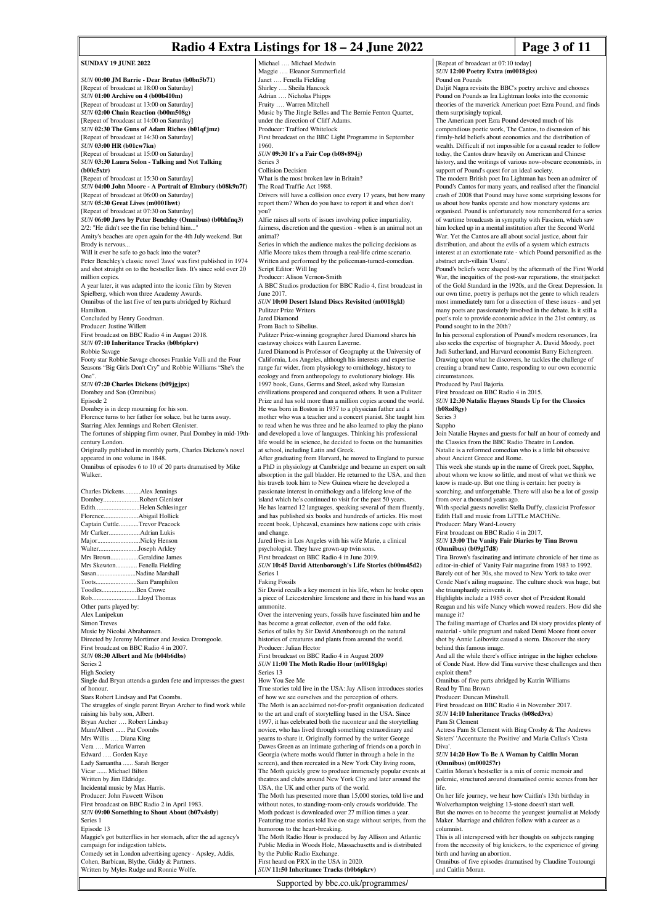# **Radio 4 Extra Listings for 18 – 24 June 2022 Page 3 of 11**

**SUNDAY 19 HINE 2022** *SUN* **00:00 JM Barrie - Dear Brutus (b0bn5b71)** [Repeat of broadcast at 18:00 on Saturday] *SUN* **01:00 Archive on 4 (b00b410m)** [Repeat of broadcast at 13:00 on Saturday] *SUN* **02:00 Chain Reaction (b00m508g)** [Repeat of broadcast at 14:00 on Saturday] *SUN* **02:30 The Guns of Adam Riches (b01qfjmz)** [Repeat of broadcast at 14:30 on Saturday] *SUN* **03:00 HR (b01cw7kn)** [Repeat of broadcast at 15:00 on Saturday] *SUN* **03:30 Laura Solon - Talking and Not Talking (b00c5xtr)** [Repeat of broadcast at 15:30 on Saturday] *SUN* **04:00 John Moore - A Portrait of Elmbury (b08k9n7f)** [Repeat of broadcast at 06:00 on Saturday] *SUN* **05:30 Great Lives (m0001hwt)** [Repeat of broadcast at 07:30 on Saturday] *SUN* **06:00 Jaws by Peter Benchley (Omnibus) (b0bhfnq3)**  $2/2$ : "He didn't see the fin rise behind him... Amity's beaches are open again for the 4th July weekend. But Brody is nervous... Will it ever be safe to go back into the water? Peter Benchley's classic novel 'Jaws' was first published in 1974 and shot straight on to the bestseller lists. It's since sold over 20 million copies. A year later, it was adapted into the iconic film by Steven Spielberg, which won three Academy Awards. Omnibus of the last five of ten parts abridged by Richard Hamilton. Concluded by Henry Goodman. Producer: Justine Willett First broadcast on BBC Radio 4 in August 2018. *SUN* **07:10 Inheritance Tracks (b0b6pkrv)** Robbie Savage Footy star Robbie Savage chooses Frankie Valli and the Four Seasons "Big Girls Don't Cry" and Robbie Williams "She's the One". *SUN* **07:20 Charles Dickens (b09jgjpx)** Dombey and Son (Omnibus) Episode 2 Dombey is in deep mourning for his son. Florence turns to her father for solace, but he turns away. Starring Alex Jennings and Robert Glenister. The fortunes of shipping firm owner, Paul Dombey in mid-19thcentury London. Originally published in monthly parts, Charles Dickens's novel appeared in one volume in 1848. Omnibus of episodes 6 to 10 of 20 parts dramatised by Mike Walker. Charles Dickens..........Alex Jennings Dombey..........................Robert Glenister<br>Edith.................................Helen Schlesinge ........<br>Helen Schlesinger... Florence.....................Abigail Hollick Captain Cuttle............Trevor Peacock Mr Carker... Major...............................Nicky Henson<br>Walter..........................Joseph Arkley Walter..........................Joseph Arkley<br>Mrs Brown................Geraldine Jam Geraldine James Mrs Skewton............. Fenella Fielding Susan..............................Nadine Marshall<br>Toots.............................Sam Pamphilon Sam Pamphilon. Toodles.....................Ben Crowe Rob............................Lloyd Thomas Other parts played by: Alex Lanipekun Simon Treves Music by Nicolai Abrahamsen. Directed by Jeremy Mortimer and Jessica Dromgoole. First broadcast on BBC Radio 4 in 2007. *SUN* **08:30 Albert and Me (b04b6dbs)** Series 2 High Society Single dad Bryan attends a garden fete and impresses the guest of honour. Stars Robert Lindsay and Pat Coombs. The struggles of single parent Bryan Archer to find work while raising his baby son, Albert. Bryan Archer …. Robert Lindsay Mum/Albert ...... Pat Coombs Mrs Willis …. Diana King Vera …. Marica Warren Edward …. Gorden Kaye Lady Samantha ...... Sarah Berger Vicar ...... Michael Bilton Written by Jim Eldridge. Incidental music by Max Harris. Producer: John Fawcett Wilson First broadcast on BBC Radio 2 in April 1983. *SUN* **09:00 Something to Shout About (b07x4s0y)** Series 1 Episode 13 Maggie's got butterflies in her stomach, after the ad agency's campaign for indigestion tablets. Comedy set in London advertising agency - Apsley, Addis, Cohen, Barbican, Blythe, Giddy & Partners. Written by Myles Rudge and Ronnie Wolfe. 1960. Series 3 you? animal? June 2017. Jared Diamond and change. Series 1 Faking Fossils **immonite**. Series 13 *SUN* **11:50 Inheritance Tracks (b0b6pkrv)**

Michael …. Michael Medwin Maggie …. Eleanor Summerfield Janet …. Fenella Fielding Shirley …. Sheila Hancock Adrian .... Nicholas Phipps<br>Fruity .... Warren Mitchell Warren Mitchell Music by The Jingle Belles and The Bernie Fenton Quartet, under the direction of Cliff Adams. Producer: Trafford Whitelock First broadcast on the BBC Light Programme in September *SUN* **09:30 It's a Fair Cop (b08v894j)** Collision Decision What is the most broken law in Britain? The Road Traffic Act 1988. Drivers will have a collision once every 17 years, but how many report them? When do you have to report it and when don't Alfie raises all sorts of issues involving police impartiality, fairness, discretion and the question - when is an animal not an Series in which the audience makes the policing decisions as Alfie Moore takes them through a real-life crime scenario. Written and performed by the policeman-turned-comedian. Script Editor: Will Ing Producer: Alison Vernon-Smith A BBC Studios production for BBC Radio 4, first broadcast in *SUN* **10:00 Desert Island Discs Revisited (m0018gkl)** Pulitzer Prize Writers From Bach to Sibelius. Pulitzer Prize-winning geographer Jared Diamond shares his castaway choices with Lauren Laverne. Jared Diamond is Professor of Geography at the University of California, Los Angeles, although his interests and expertise range far wider, from physiology to ornithology, history to ecology and from anthropology to evolutionary biology. His 1997 book, Guns, Germs and Steel, asked why Eurasi civilizations prospered and conquered others. It won a Pulitzer Prize and has sold more than a million copies around the world. He was born in Boston in 1937 to a physician father and a mother who was a teacher and a concert pianist. She taught him to read when he was three and he also learned to play the piano and developed a love of languages. Thinking his professional life would be in science, he decided to focus on the humanities at school, including Latin and Greek. After graduating from Harvard, he moved to England to pursue a PhD in physiology at Cambridge and became an expert on salt absorption in the gall bladder. He returned to the USA, and then his travels took him to New Guinea where he developed a passionate interest in ornithology and a lifelong love of the island which he's continued to visit for the past 50 years. He has learned 12 languages, speaking several of them fluently, and has published six books and hundreds of articles. His mos recent book, Upheaval, examines how nations cope with crisis Jared lives in Los Angeles with his wife Marie, a clinical psychologist. They have grown-up twin son First broadcast on BBC Radio 4 in June 2019. *SUN* **10:45 David Attenborough's Life Stories (b00m45d2)** Sir David recalls a key moment in his life, when he broke open a piece of Leicestershire limestone and there in his hand was an Over the intervening years, fossils have fascinated him and he has become a great collector, even of the odd fake. Series of talks by Sir David Attenborough on the natural histories of creatures and plants from around the world. Producer: Julian Hector First broadcast on BBC Radio 4 in August 2009 *SUN* **11:00 The Moth Radio Hour (m0018gkp)** How You See Me True stories told live in the USA: Jay Allison introduces stories of how we see ourselves and the perception of others. The Moth is an acclaimed not-for-profit organisation dedicated to the art and craft of storytelling based in the USA. Since 1997, it has celebrated both the raconteur and the storytelling novice, who has lived through something extraordinary and yearns to share it. Originally formed by the writer George Dawes Green as an intimate gathering of friends on a porch in Georgia (where moths would flutter in through a hole in the screen), and then recreated in a New York City living room. The Moth quickly grew to produce immensely popular events at theatres and clubs around New York City and later around the USA, the UK and other parts of the world. The Moth has presented more than 15,000 stories, told live and without notes, to standing-room-only crowds worldwide. The Moth podcast is downloaded over 27 million times a year. Featuring true stories told live on stage without scripts, from the humorous to the heart-breaking. The Moth Radio Hour is produced by Jay Allison and Atlantic Public Media in Woods Hole, Massachusetts and is distributed by the Public Radio Exchange. First heard on PRX in the USA in 2020. Series 3 Sappho Diva'. life.

Supported by bbc.co.uk/programmes/

[Repeat of broadcast at 07:10 today] *SUN* **12:00 Poetry Extra (m0018gks)** Pound on Pounds

Daljit Nagra revisits the BBC's poetry archive and chooses Pound on Pounds as Ira Lightman looks into the economic theories of the maverick American poet Ezra Pound, and finds them surprisingly topical.

The American poet Ezra Pound devoted much of his compendious poetic work, The Cantos, to discussion of his firmly-held beliefs about economics and the distribution of wealth. Difficult if not impossible for a casual reader to follow today, the Cantos draw heavily on American and Chinese history, and the writings of various now-obscure economists, in support of Pound's quest for an ideal society.

The modern British poet Ira Lightman has been an admirer of Pound's Cantos for many years, and realised after the financial crash of 2008 that Pound may have some surprising lessons for us about how banks operate and how monetary systems are organised. Pound is unfortunately now remembered for a series of wartime broadcasts in sympathy with Fascism, which saw him locked up in a mental institution after the Second World War. Yet the Cantos are all about social justice, about fair distribution, and about the evils of a system which extracts interest at an extortionate rate - which Pound personified as the abstract arch-villain 'Usura'.

Pound's beliefs were shaped by the aftermath of the First World War, the inequities of the post-war reparations, the straitjacket of the Gold Standard in the 1920s, and the Great Depression. In our own time, poetry is perhaps not the genre to which readers most immediately turn for a dissection of these issues - and yet many poets are passionately involved in the debate. Is it still a poet's role to provide economic advice in the 21st century, as Pound sought to in the 20th?

In his personal exploration of Pound's modern resonances, Ira also seeks the expertise of biographer A. David Moody, poet Judi Sutherland, and Harvard economist Barry Eichengreen. Drawing upon what he discovers, he tackles the challenge of creating a brand new Canto, responding to our own economic circumstances.

Produced by Paul Bajoria.

First broadcast on BBC Radio 4 in 2015. *SUN* **12:30 Natalie Haynes Stands Up for the Classics (b08zd8gy)**

Join Natalie Haynes and guests for half an hour of comedy and the Classics from the BBC Radio Theatre in London. Natalie is a reformed comedian who is a little bit obsessive

about Ancient Greece and Rome.

This week she stands up in the name of Greek poet, Sappho, about whom we know so little, and most of what we think we know is made-up. But one thing is certain: her poetry is scorching, and unforgettable. There will also be a lot of gossip from over a thousand years ago.

With special guests novelist Stella Duffy, classicist Professor Edith Hall and music from LiTTLe MACHiNe.

Producer: Mary Ward-Lowery

First broadcast on BBC Radio 4 in 2017.

*SUN* **13:00 The Vanity Fair Diaries by Tina Brown (Omnibus) (b09gl7d8)**

Tina Brown's fascinating and intimate chronicle of her time as editor-in-chief of Vanity Fair magazine from 1983 to 1992. Barely out of her 30s, she moved to New York to take over

Conde Nast's ailing magazine. The culture shock was huge, but she triumphantly reinvents it. Highlights include a 1985 cover shot of President Ronald

Reagan and his wife Nancy which wowed readers. How did she manage it?

The failing marriage of Charles and Di story provides plenty of material - while pregnant and naked Demi Moore front cover shot by Annie Leibovitz caused a storm. Discover the story behind this famous image.

And all the while there's office intrigue in the higher echelons of Conde Nast. How did Tina survive these challenges and then exploit them?

Omnibus of five parts abridged by Katrin Williams Read by Tina Brown

Producer: Duncan Minshull.

First broadcast on BBC Radio 4 in November 2017. *SUN* **14:10 Inheritance Tracks (b08cd3vx)**

Pam St Clement

Actress Pam St Clement with Bing Crosby & The Andrews Sisters' 'Accentuate the Positive' and Maria Callas's 'Casta

*SUN* **14:20 How To Be A Woman by Caitlin Moran (Omnibus) (m000257r)**

Caitlin Moran's bestseller is a mix of comic memoir and polemic, structured around dramatised comic scenes from her

On her life journey, we hear how Caitlin's 13th birthday in Wolverhampton weighing 13-stone doesn't start well. But she moves on to become the youngest journalist at Melody Maker. Marriage and children follow with a career as a columnist.

This is all interspersed with her thoughts on subjects ranging from the necessity of big knickers, to the experience of giving birth and having an abortion.

Omnibus of five episodes dramatised by Claudine Toutoungi and Caitlin Moran.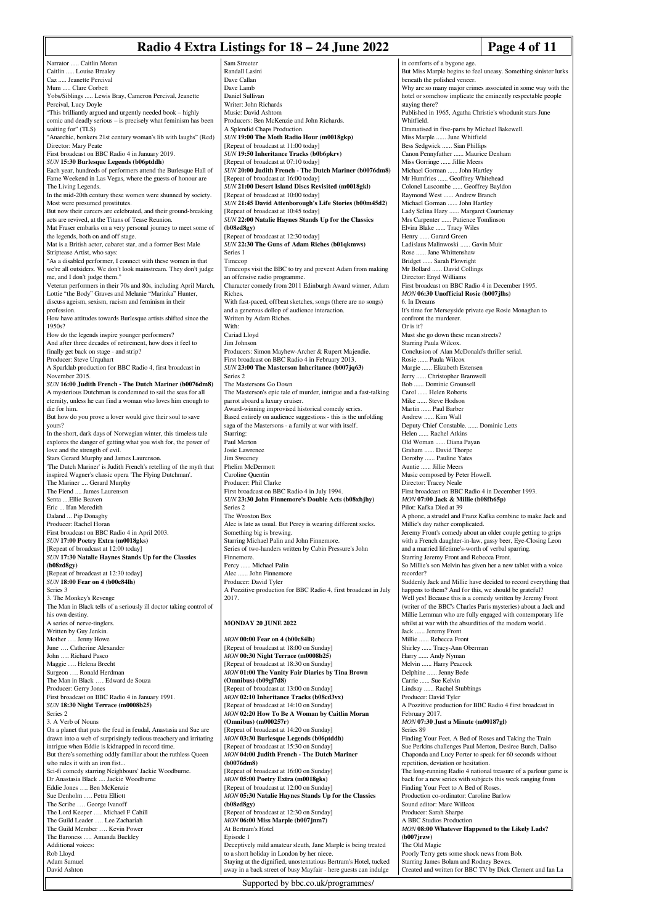### **Radio 4 Extra Listings for 18 – 24 June 2022** Page 4 of 11

| Narrator  Caitlin Moran                                            | Sam Streeter                                                     |
|--------------------------------------------------------------------|------------------------------------------------------------------|
| Caitlin  Louise Brealey                                            | Randall Lasini                                                   |
| Caz  Jeanette Percival                                             | Dave Callan                                                      |
| Mum  Clare Corbett                                                 | Dave Lamb                                                        |
| Yobs/Siblings  Lewis Bray, Cameron Percival, Jeanette              | Daniel Sullivan                                                  |
| Percival, Lucy Doyle                                               | Writer: John Richards                                            |
| "This brilliantly argued and urgently needed book - highly         | Music: David Ashtom                                              |
| comic and deadly serious - is precisely what feminism has been     | Producers: Ben McKenzie and John Richards.                       |
| waiting for" (TLS)                                                 | A Splendid Chaps Production.                                     |
| "Anarchic, bonkers 21st century woman's lib with laughs" (Red)     | SUN 19:00 The Moth Radio Hour (m0018gkp)                         |
| Director: Mary Peate                                               | [Repeat of broadcast at 11:00 today]                             |
| First broadcast on BBC Radio 4 in January 2019.                    | SUN 19:50 Inheritance Tracks (b0b6pkrv)                          |
| SUN 15:30 Burlesque Legends (b06ptddh)                             | [Repeat of broadcast at 07:10 today]                             |
| Each year, hundreds of performers attend the Burlesque Hall of     | SUN 20:00 Judith French - The Dutch Mariner (b0076dm8)           |
| Fame Weekend in Las Vegas, where the guests of honour are          | [Repeat of broadcast at 16:00 today]                             |
| The Living Legends.                                                | SUN 21:00 Desert Island Discs Revisited (m0018gkl)               |
| In the mid-20th century these women were shunned by society.       | [Repeat of broadcast at 10:00 today]                             |
| Most were presumed prostitutes.                                    | SUN 21:45 David Attenborough's Life Stories (b00m45d2)           |
| But now their careers are celebrated, and their ground-breaking    | [Repeat of broadcast at 10:45 today]                             |
| acts are revived, at the Titans of Tease Reunion.                  | SUN 22:00 Natalie Haynes Stands Up for the Classics              |
|                                                                    |                                                                  |
| Mat Fraser embarks on a very personal journey to meet some of      | (b08zd8gy)                                                       |
| the legends, both on and off stage.                                | [Repeat of broadcast at 12:30 today]                             |
| Mat is a British actor, cabaret star, and a former Best Male       | SUN 22:30 The Guns of Adam Riches (b01qkmws)                     |
| Striptease Artist, who says:                                       | Series 1                                                         |
| "As a disabled performer, I connect with these women in that       | Timecop                                                          |
| we're all outsiders. We don't look mainstream. They don't judge    | Timecops visit the BBC to try and prevent Adam from making       |
| me, and I don't judge them."                                       | an offensive radio programme.                                    |
| Veteran performers in their 70s and 80s, including April March,    | Character comedy from 2011 Edinburgh Award winner, Adam          |
| Lottie "the Body" Graves and Melanie "Marinka" Hunter,             | Riches.                                                          |
| discuss ageism, sexism, racism and feminism in their               | With fast-paced, of fbeat sketches, songs (there are no songs)   |
| profession.                                                        | and a generous dollop of audience interaction.                   |
| How have attitudes towards Burlesque artists shifted since the     | Written by Adam Riches.                                          |
| 1950s?                                                             | With:                                                            |
| How do the legends inspire younger performers?                     | Cariad Lloyd                                                     |
| And after three decades of retirement, how does it feel to         | Jim Johnson                                                      |
| finally get back on stage - and strip?                             | Producers: Simon Mayhew-Archer & Rupert Majendie.                |
| Producer: Steve Urquhart                                           | First broadcast on BBC Radio 4 in February 2013.                 |
| A Sparklab production for BBC Radio 4, first broadcast in          | SUN 23:00 The Masterson Inheritance (b007jq63)                   |
| November 2015.                                                     | Series <sub>2</sub>                                              |
|                                                                    | The Mastersons Go Down                                           |
| SUN 16:00 Judith French - The Dutch Mariner (b0076dm8)             |                                                                  |
| A mysterious Dutchman is condemned to sail the seas for all        | The Masterson's epic tale of murder, intrigue and a fast-talking |
| eternity, unless he can find a woman who loves him enough to       | parrot aboard a luxury cruiser.                                  |
| die for him.                                                       | Award-winning improvised historical comedy series.               |
| But how do you prove a lover would give their soul to save         | Based entirely on audience suggestions - this is the unfolding   |
| yours?                                                             | saga of the Mastersons - a family at war with itself.            |
| In the short, dark days of Norwegian winter, this timeless tale    | Starring:                                                        |
| explores the danger of getting what you wish for, the power of     | Paul Merton                                                      |
| love and the strength of evil.                                     | Josie Lawrence                                                   |
| Stars Gerard Murphy and James Laurenson.                           | Jim Sweeney                                                      |
| The Dutch Mariner' is Judith French's retelling of the myth that   | Phelim McDermott                                                 |
| inspired Wagner's classic opera 'The Flying Dutchman'.             | Caroline Quentin                                                 |
| The Mariner  Gerard Murphy                                         | Producer: Phil Clarke                                            |
| The Fiend  James Laurenson                                         | First broadcast on BBC Radio 4 in July 1994.                     |
| Senta Ellie Beaven                                                 | SUN 23:30 John Finnemore's Double Acts (b08xbjhy)                |
| Eric  Ifan Meredith                                                | Series <sub>2</sub>                                              |
| Daland  Pip Donaghy                                                | The Wroxton Box                                                  |
| Producer: Rachel Horan                                             | Alec is late as usual. But Percy is wearing different socks.     |
| First broadcast on BBC Radio 4 in April 2003.                      | Something big is brewing.                                        |
| SUN 17:00 Poetry Extra (m0018gks)                                  | Starring Michael Palin and John Finnemore.                       |
| [Repeat of broadcast at 12:00 today]                               | Series of two-handers written by Cabin Pressure's John           |
| SUN 17:30 Natalie Haynes Stands Up for the Classics                | Finnemore.                                                       |
| (b08zd8gy)                                                         | Percy  Michael Palin                                             |
| [Repeat of broadcast at 12:30 today]                               | Alec  John Finnemore                                             |
| SUN 18:00 Fear on 4 (b00c84lh)                                     | Producer: David Tyler                                            |
| Series 3                                                           | A Pozzitive production for BBC Radio 4, first broadcast in July  |
| 3. The Monkey's Revenge                                            | 2017.                                                            |
| The Man in Black tells of a seriously ill doctor taking control of |                                                                  |
| his own destiny.                                                   |                                                                  |
|                                                                    |                                                                  |
| A series of nerve-tinglers.                                        | <b>MONDAY 20 JUNE 2022</b>                                       |
| Written by Guy Jenkin.                                             |                                                                  |
| Mother  Jenny Howe<br>June  Catherine Alexander                    | <b>MON 00:00 Fear on 4 (b00c84lh)</b>                            |
|                                                                    | [Repeat of broadcast at 18:00 on Sunday]                         |
| John  Richard Pasco                                                | MON 00:30 Night Terrace (m0008b25)                               |
| Maggie  Helena Brecht                                              | [Repeat of broadcast at 18:30 on Sunday]                         |
| Surgeon  Ronald Herdman                                            | MON 01:00 The Vanity Fair Diaries by Tina Brown                  |
| The Man in Black  Edward de Souza                                  | (Omnibus) (b09gl7d8)                                             |
| Producer: Gerry Jones                                              | [Repeat of broadcast at 13:00 on Sunday]                         |
| First broadcast on BBC Radio 4 in January 1991.                    | MON 02:10 Inheritance Tracks (b08cd3vx)                          |
| SUN 18:30 Night Terrace (m0008b25)                                 | [Repeat of broadcast at 14:10 on Sunday]                         |
| Series <sub>2</sub>                                                | MON 02:20 How To Be A Woman by Caitlin Moran                     |
| 3. A Verb of Nouns                                                 | (Omnibus) (m000257r)                                             |
| On a planet that puts the feud in feudal, Anastasia and Sue are    | [Repeat of broadcast at 14:20 on Sunday]                         |
| drawn into a web of surprisingly tedious treachery and irritating  | MON 03:30 Burlesque Legends (b06ptddh)                           |
| intrigue when Eddie is kidnapped in record time.                   | [Repeat of broadcast at 15:30 on Sunday]                         |
| But there's something oddly familiar about the ruthless Queen      | MON 04:00 Judith French - The Dutch Mariner                      |
| who rules it with an iron fist                                     | (b0076dm8)                                                       |
| Sci-fi comedy starring Neighbours' Jackie Woodburne.               | [Repeat of broadcast at 16:00 on Sunday]                         |
| Dr Anastasia Black  Jackie Woodburne                               | MON 05:00 Poetry Extra (m0018gks)                                |
| Eddie Jones  Ben McKenzie                                          | [Repeat of broadcast at 12:00 on Sunday]                         |
| Sue Denholm  Petra Elliott                                         | MON 05:30 Natalie Haynes Stands Up for the Classics              |
| The Scribe  George Ivanoff                                         | (b08zd8gy)                                                       |
| The Lord Keeper  Michael F Cahill                                  | [Repeat of broadcast at 12:30 on Sunday]                         |
| The Guild Leader  Lee Zachariah                                    | MON 06:00 Miss Marple (b007jnm7)                                 |
| The Guild Member  Kevin Power                                      | At Bertram's Hotel                                               |
| The Baroness  Amanda Buckley                                       | Episode 1                                                        |
| Additional voices:                                                 | Deceptively mild amateur sleuth, Jane Marple is being treated    |
| Rob Lloyd                                                          | to a short holiday in London by her niece.                       |
| Adam Samuel                                                        | Staying at the dignified, unostentatious Bertram's Hotel, tucked |
| David Ashton                                                       | away in a back street of busy Mayfair - here guests can indulge  |
|                                                                    |                                                                  |

Randall Lasini van n Richards id: Ashtom **Ben McKenzie and John Richards Chaps Production.** *SUN* **19:00 The Moth Radio Hour (m0018gkp)** broadcast at 11:00 today] *SUN* **19:50 Inheritance Tracks (b0b6pkrv)** proadcast at 07:10 today] *SUN* **20:00 Judith French - The Dutch Mariner (b0076dm8)** proadcast at 16:00 today] **Desert Island Discs Revisited (m0018gkl)** broadcast at 10:00 today] *SUN* **21:45 David Attenborough's Life Stories (b00m45d2)** proadcast at 10:45 today] *SUN* **22:00 Natalie Haynes Stands Up for the Classics** proadcast at 12:30 today] *SUN* **22:30 The Guns of Adam Riches (b01qkmws)** isit the BBC to try and prevent Adam from making e radio programme omedy from 2011 Edinburgh Award winner, Adam aced, offbeat sketches, songs (there are no songs) ous dollop of audience interaction. Adam Riches. Cariad Lloyd Simon Mayhew-Archer & Rupert Majendie. ast on BBC Radio 4 in February 2013. **The Masterson Inheritance (b007jq63)** sons Go Down  $T_{\text{S}}$  as  $T_{\text{S}}$  and  $T_{\text{S}}$  murder, intrigue and a fast-talking rd a luxury cruiser. hing improvised historical comedy series. ely on audience suggestions - this is the unfolding saga of the Mastersons - a family at war with itself. ence .<br>Dermott aentin hil Clarke rast on BBC Radio 4 in July 1994. *SUN* **23:30 John Finnemore's Double Acts (b08xbjhy)**  $on\;Box$ as usual. But Percy is wearing different socks. big is brewing. Starring Michael Palin and John Finnemore. vo-handers written by Cabin Pressure's John Percy ...... Michael Palin hn Finnemore Pavid Tyler production for BBC Radio 4, first broadcast in July **20 HINE 2022** *MON* **00:00 Fear on 4 (b00c84lh)** [Repeat of broadcast at 18:00 on Sunday] *MON* **00:30 Night Terrace (m0008b25)** proadcast at 18:30 on Sunday] *MON* **01:00 The Vanity Fair Diaries by Tina Brown (Omnibus) (b09gl7d8)** proadcast at 13:00 on Sunday] *MON* **02:10 Inheritance Tracks (b08cd3vx)** proadcast at 14:10 on Sunday] *MON* **02:20 How To Be A Woman by Caitlin Moran** (m000257r) proadcast at 14:20 on Sunday] *MON* **03:30 Burlesque Legends (b06ptddh)** proadcast at 15:30 on Sunday] *MON* **04:00 Judith French - The Dutch Mariner** proadcast at 16:00 on Sunday] Poetry Extra (m0018gks) proadcast at 12:00 on Sunday] **Natalie Haynes Stands Up for the Classics** proadcast at 12:30 on Sunday] **Miss Marple (b007jnm7)** s Hotel mild amateur sleuth, Jane Marple is being treated bliday in London by her niece.

Supported by bbc.co.uk/programmes/

in comforts of a bygone age But Miss Marple begins to feel uneasy. Something sinister lurks beneath the polished veneer Why are so many major crimes associated in some way with the hotel or somehow implicate the eminently respectable people staying there? Published in 1965, Agatha Christie's whodunit stars June Whitfield. Dramatised in five-parts by Michael Bakewell. Miss Marple ...... June Whitfield Bess Sedgwick ...... Sian Phillips Canon Pennyfather ...... Maurice Denham Miss Gorringe ...... Jillie Meers Michael Gorman ...... John Hartley Mr Humfries ...... Geoffrey Whitehead Colonel Luscombe ...... Geoffrey Bayldon Raymond West ...... Andrew Branch Michael Gorman ...... John Hartley Lady Selina Hazy ...... Margaret Courtenay Mrs Carpenter ...... Patience Tomlinson Elvira Blake ...... Tracy Wiles Henry ...... Garard Green Ladislaus Malinwoski ...... Gavin Muir Rose ...... Jane Whittenshaw Bridget ...... Sarah Plowright Mr Bollard ...... David Collings Director: Enyd Williams First broadcast on BBC Radio 4 in December 1995. *MON* **06:30 Unofficial Rosie (b007jlhs)** 6. In Dreams It's time for Merseyside private eye Rosie Monaghan to confront the murderer. Or is it? Must she go down these mean streets? Starring Paula Wilcox. Conclusion of Alan McDonald's thriller serial. Rosie ...... Paula Wilcox Margie ...... Elizabeth Estensen Jerry ...... Christopher Bramwell Bob ...... Dominic Grounsell Carol ...... Helen Roberts Mike ...... Steve Hodson Martin ...... Paul Barber Andrew ...... Kim Wall Deputy Chief Constable. ...... Dominic Letts Helen ...... Rachel Atkins Old Woman ...... Diana Payan Graham ...... David Thorpe Dorothy ...... Pauline Yates Auntie ..... Jillie Meers Music composed by Peter Howell. Director: Tracey Neale First broadcast on BBC Radio 4 in December 1993. *MON* **07:00 Jack & Millie (b08fh65p)** Pilot: Kafka Died at 39 A phone, a strudel and Franz Kafka combine to make Jack and Millie's day rather complicated. Jeremy Front's comedy about an older couple getting to grips with a French daughter-in-law, gassy beer, Eye-Closing Leon and a married lifetime's-worth of verbal sparring. Starring Jeremy Front and Rebecca Front. So Millie's son Melvin has given her a new tablet with a voice recorder? Suddenly Jack and Millie have decided to record everything that happens to them? And for this, we should be grateful? Well yes! Because this is a comedy written by Jeremy Front (writer of the BBC's Charles Paris mysteries) about a Jack and Millie Lemman who are fully engaged with contemporary life whilst at war with the absurdities of the modern world. Jack ...... Jeremy Front Millie ...... Rebecca Front Shirley ...... Tracy-Ann Oberman Harry ...... Andy Nyman Melvin ...... Harry Peacock Delphine ...... Jenny Bede Carrie ...... Sue Kelvin Lindsay ...... Rachel Stubbings Producer: David Tyler A Pozzitive production for BBC Radio 4 first broadcast in February 2017. *MON* **07:30 Just a Minute (m00187gl)** Series 89 Finding Your Feet, A Bed of Roses and Taking the Train Sue Perkins challenges Paul Merton, Desiree Burch, Daliso Chaponda and Lucy Porter to speak for 60 seconds without repetition, deviation or hesitation. The long-running Radio 4 national treasure of a parlour game is back for a new series with subjects this week ranging from Finding Your Feet to A Bed of Roses. Production co-ordinator: Caroline Barlow Sound editor: Marc Willcox Producer: Sarah Sharpe A BBC Studios Production *MON* **08:00 Whatever Happened to the Likely Lads? (b007jrzw)** The Old Magic Poorly Terry gets some shock news from Bob. Starring James Bolam and Rodney Bewe

Created and written for BBC TV by Dick Clement and Ian La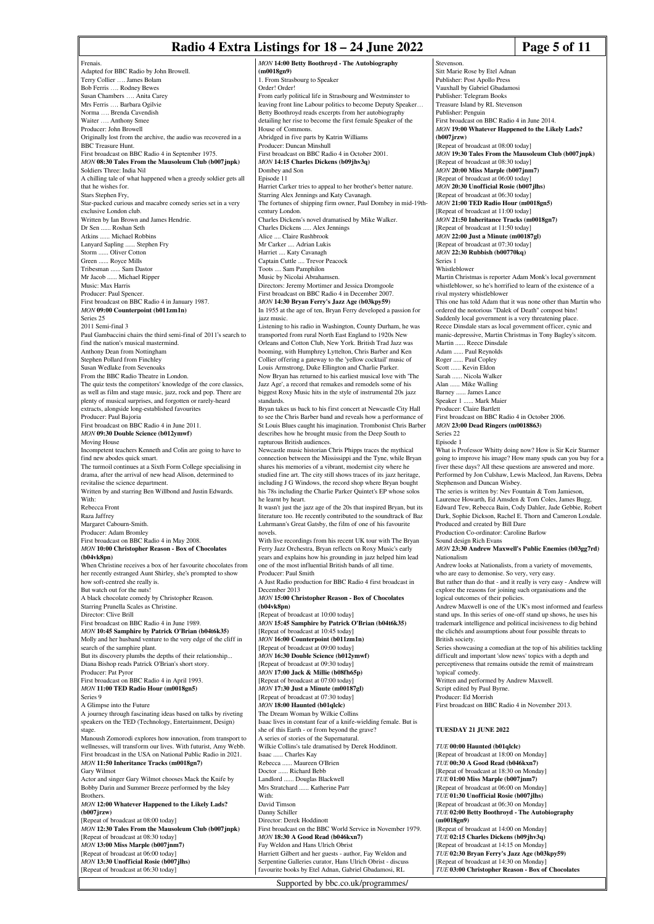### **Radio 4 Extra Listings for 18 – 24 June 2022** Page 5 of 11

*MON* **14:00 Betty Boothroyd - The Autobiography**

**(m0018gn9)**

Frenais. Adapted for BBC Radio by John Browell. Terry Collier …. James Bolam Bob Ferris …. Rodney Bewes Susan Chambers …. Anita Carey Mrs Ferris …. Barbara Ogilvie Norma …. Brenda Cavendish Waiter …. Anthony Smee Producer: John Browell Originally lost from the archive, the audio was recovered in a BBC Treasure Hunt. First broadcast on BBC Radio 4 in September 1975. *MON* **08:30 Tales From the Mausoleum Club (b007jnpk)** Soldiers Three: India Nil A chilling tale of what happened when a greedy soldier gets all that he wishes for. Stars Stephen Fry, Star-packed curious and macabre comedy series set in a very exclusive London club. Written by Ian Brown and James Hendrie. Dr Sen ...... Roshan Seth Atkins ...... Michael Robbins Lanyard Sapling ...... Stephen Fry Storm ...... Oliver Cotton Green ...... Royce Mills Tribesman ...... Sam Dastor<br>Mr Jacob ...... Michael Rin .. Michael Ripper Music: Max Harris Producer: Paul Spencer. First broadcast on BBC Radio 4 in January 1987. *MON* **09:00 Counterpoint (b011zm1n)** Series 25 2011 Semi-final 3 Paul Gambaccini chairs the third semi-final of 2011's search to find the nation's musical mastermind. Anthony Dean from Nottingham Stephen Pollard from Finchley Susan Wedlake from Sevenoaks From the BBC Radio Theatre in London. The quiz tests the competitors' knowledge of the core classics, as well as film and stage music, jazz, rock and pop. There are plenty of musical surprises, and forgotten or rarely-heard extracts, alongside long-established favourites Producer: Paul Bajoria First broadcast on BBC Radio 4 in June 2011. *MON* **09:30 Double Science (b012ymwf)** Moving House Incompetent teachers Kenneth and Colin are going to have to find new abodes quick smart. The turnoil continues at a Sixth Form College specialising in drama, after the arrival of new head Alison, determined to revitalise the science department. Written by and starring Ben Willbond and Justin Edwards. With: Rebecca Front Raza Jaffrey Margaret Cabourn-Smith. Producer: Adam Bromley First broadcast on BBC Radio 4 in May 2008. *MON* **10:00 Christopher Reason - Box of Chocolates (b04vk8pn)** When Christine receives a box of her favourite chocolates from her recently estranged Aunt Shirley, she's prompted to show how soft-centred she really is. But watch out for the nuts! A black chocolate comedy by Christopher Reason. Starring Prunella Scales as Christine. Director: Clive Brill First broadcast on BBC Radio 4 in June 1989. *MON* **10:45 Samphire by Patrick O'Brian (b04t6k35)** Molly and her husband venture to the very edge of the cliff in search of the samphire plant. But its discovery plumbs the depths of their relationship. Diana Bishop reads Patrick O'Brian's short story. Producer: Pat Pyror First broadcast on BBC Radio 4 in April 1993. *MON* **11:00 TED Radio Hour (m0018gn5)** Series 9 A Glimpse into the Future A journey through fascinating ideas based on talks by riveting speakers on the TED (Technology, Entertainment, Design) stage. Manoush Zomorodi explores how innovation, from transport to wellnesses, will transform our lives. With futurist, Amy Webb. First broadcast in the USA on National Public Radio in 2021. *MON* **11:50 Inheritance Tracks (m0018gn7)** Gary Wilmot Actor and singer Gary Wilmot chooses Mack the Knife by Bobby Darin and Summer Breeze performed by the Isley **Brothers** *MON* **12:00 Whatever Happened to the Likely Lads? (b007jrzw)** [Repeat of broadcast at 08:00 today] *MON* **12:30 Tales From the Mausoleum Club (b007jnpk)** [Repeat of broadcast at 08:30 today] *MON* **13:00 Miss Marple (b007jnm7)** [Repeat of broadcast at 06:00 today] *MON* **13:30 Unofficial Rosie (b007jlhs)** [Repeat of broadcast at 06:30 today]

1. From Strasbourg to Speaker Order! Order! From early political life in Strasbourg and Westminster to leaving front line Labour politics to become Deputy Speaker... Betty Boothroyd reads excerpts from her autobiography detailing her rise to become the first female Speaker of the House of Commons. Abridged in five parts by Katrin Williams Producer: Duncan Minshull First broadcast on BBC Radio 4 in October 2001. *MON* **14:15 Charles Dickens (b09jhv3q)** Dombey and Son Episode 11 Harriet Carker tries to appeal to her brother's better nature. Starring Alex Jennings and Katy Cavanagh. The fortunes of shipping firm owner, Paul Dombey in mid-19thcentury London. Charles Dickens's novel dramatised by Mike Walker. Charles Dickens ..... Alex Jennings Alice .... Claire Rushbrook Mr Carker .... Adrian Lukis Harriet .... Katy Cavanagh Captain Cuttle .... Trevor Peacock Toots .... Sam Pamphilon Music by Nicolai Abrahamsen. Directors: Jeremy Mortimer and Jessica Dromgoole First broadcast on BBC Radio 4 in December 2007. *MON* **14:30 Bryan Ferry's Jazz Age (b03kpy59)** In 1955 at the age of ten, Bryan Ferry developed a passion for jazz music. Listening to his radio in Washington, County Durham, he was transported from rural North East England to 1920s New Orleans and Cotton Club, New York. British Trad Jazz was booming, with Humphrey Lyttelton, Chris Barber and Ken Collier offering a gateway to the 'yellow cocktail' music of Louis Armstrong, Duke Ellington and Charlie Parker. Now Bryan has returned to his earliest musical love with 'The Jazz Age', a record that remakes and remodels some of his biggest Roxy Music hits in the style of instrumental 20s jazz standards. Bryan takes us back to his first concert at Newcastle City Hall to see the Chris Barber band and reveals how a performance of St Louis Blues caught his imagination. Trombonist Chris Barber describes how he brought music from the Deep South to rapturous British audiences. Newcastle music historian Chris Phipps traces the mythical connection between the Mississippi and the Tyne, while Bryan shares his memories of a vibrant, modernist city where he studied fine art. The city still shows traces of its jazz heritage, including J G Windows, the record shop where Bryan bought his 78s including the Charlie Parker Quintet's EP whose solos he learnt by heart. It wasn't just the jazz age of the 20s that inspired Bryan, but its literature too. He recently contributed to the soundtrack of Baz Luhrmann's Great Gatsby, the film of one of his favourite novels. With live recordings from his recent UK tour with The Bryan Ferry Jazz Orchestra, Bryan reflects on Roxy Music's early years and explains how his grounding in jazz helped him lead one of the most influential British bands of all time. Producer: Paul Smith A Just Radio production for BBC Radio 4 first broadcast in December 2013 *MON* **15:00 Christopher Reason - Box of Chocolates (b04vk8pn)** [Repeat of broadcast at 10:00 today] *MON* **15:45 Samphire by Patrick O'Brian (b04t6k35)** [Repeat of broadcast at 10:45 today] *MON* **16:00 Counterpoint (b011zm1n)** [Repeat of broadcast at 09:00 today] *MON* **16:30 Double Science (b012ymwf)** [Repeat of broadcast at 09:30 today] *MON* **17:00 Jack & Millie (b08fh65p)** [Repeat of broadcast at 07:00 today] *MON* **17:30 Just a Minute (m00187gl)** [Repeat of broadcast at 07:30 today] *MON* **18:00 Haunted (b01qlclc)** The Dream Woman by Wilkie Collins Isaac lives in constant fear of a knife-wielding female. But is she of this Earth - or from beyond the grave? A series of stories of the Supernatural. Wilkie Collins's tale dramatised by Derek Hoddinott. Isaac ...... Charles Kay Rebecca ...... Maureen O'Brien Doctor ...... Richard Bebb **Landlord ...... Douglas Blackwell**<br>Mrs Stratchard Katherine Parr Mrs Stratchard .... With: David Timson Danny Schiller Director: Derek Hoddinott First broadcast on the BBC World Service in November 1979. *MON* **18:30 A Good Read (b046kxn7)** Fay Weldon and Hans Ulrich Obrist Harriett Gilbert and her guests - author, Fay Weldon and Serpentine Galleries curator, Hans Ulrich Obrist - discu favourite books by Etel Adnan, Gabriel Gbadamosi, RL

Stevenson. Sitt Marie Rose by Etel Adnan Publisher: Post Apollo Press Vauxhall by Gabriel Gbadamosi Publisher: Telegram Books Treasure Island by RL Stevenson Publisher: Penguin First broadcast on BBC Radio 4 in June 2014. *MON* **19:00 Whatever Happened to the Likely Lads? (b007jrzw)** [Repeat of broadcast at 08:00 today] *MON* **19:30 Tales From the Mausoleum Club (b007jnpk)** [Repeat of broadcast at 08:30 today] *MON* **20:00 Miss Marple (b007jnm7)** [Repeat of broadcast at 06:00 today] *MON* **20:30 Unofficial Rosie (b007jlhs)** [Repeat of broadcast at 06:30 today] *MON* **21:00 TED Radio Hour (m0018gn5)** [Repeat of broadcast at 11:00 today] *MON* **21:50 Inheritance Tracks (m0018gn7)** [Repeat of broadcast at 11:50 today] *MON* **22:00 Just a Minute (m00187gl)** [Repeat of broadcast at 07:30 today] *MON* **22:30 Rubbish (b00770kq)** Series 1 Whistleblower Martin Christmas is reporter Adam Monk's local government whistleblower, so he's horrified to learn of the existence of a rival mystery whistleblower This one has told Adam that it was none other than Martin who ordered the notorious "Dalek of Death" compost bins! Suddenly local government is a very threatening place. Reece Dinsdale stars as local government officer, cynic and manic-depressive, Martin Christmas in Tony Bagley's sitcom. Martin ...... Reece Dinsdale Adam ...... Paul Reynolds Roger ...... Paul Copley Scott ...... Kevin Eldon<br>Sarah ...... Nicola Walk .. Nicola Walker Alan ...... Mike Walling Barney ...... James Lance Speaker 1 ...... Mark Maier Producer: Claire Bartlett First broadcast on BBC Radio 4 in October 2006. *MON* **23:00 Dead Ringers (m0018863)** Series 22 Episode 1 What is Professor Whitty doing now? How is Sir Keir Starmer going to improve his image? How many spuds can you buy for a fiver these days? All these questions are answered and more. Performed by Jon Culshaw, Lewis Macleod, Jan Ravens, Debra Stephenson and Duncan Wisbey. The series is written by: Nev Fountain & Tom Jamieson, Laurence Howarth, Ed Amsden & Tom Coles, James Bugg, Edward Tew, Rebecca Bain, Cody Dahler, Jade Gebbie, Robert Dark, Sophie Dickson, Rachel E. Thorn and Cameron Loxdale. Produced and created by Bill Dare Production Co-ordinator: Caroline Barlow Sound design Rich Evans *MON* **23:30 Andrew Maxwell's Public Enemies (b03gg7rd)** Nationalism Andrew looks at Nationalists, from a variety of movements, who are easy to demonise. So very, very easy. But rather than do that - and it really is very easy - Andrew will explore the reasons for joining such organisations and the logical outcomes of their policies. Andrew Maxwell is one of the UK's most informed and fearless stand ups. In this series of one-off stand up shows, he uses his trademark intelligence and political incisiveness to dig behind the clichés and assumptions about four possible threats to British society. Series showcasing a comedian at the top of his abilities tackling difficult and important 'slow news' topics with a depth and perceptiveness that remains outside the remit of mainstream 'topical' comedy. Written and performed by Andrew Maxwell. Script edited by Paul Byrne. Producer: Ed Morrish First broadcast on BBC Radio 4 in November 2013. **TUESDAY 21 JUNE 2022** *TUE* **00:00 Haunted (b01qlclc)** [Repeat of broadcast at 18:00 on Monday] *TUE* **00:30 A Good Read (b046kxn7)** [Repeat of broadcast at 18:30 on Monday] *TUE* **01:00 Miss Marple (b007jnm7)** [Repeat of broadcast at 06:00 on Monday] *TUE* **01:30 Unofficial Rosie (b007jlhs)** [Repeat of broadcast at 06:30 on Monday] *TUE* **02:00 Betty Boothroyd - The Autobiography**

**(m0018gn9)** [Repeat of broadcast at 14:00 on Monday] *TUE* **02:15 Charles Dickens (b09jhv3q)** [Repeat of broadcast at 14:15 on Monday] *TUE* **02:30 Bryan Ferry's Jazz Age (b03kpy59)** [Repeat of broadcast at 14:30 on Monday] *TUE* **03:00 Christopher Reason - Box of Chocolates**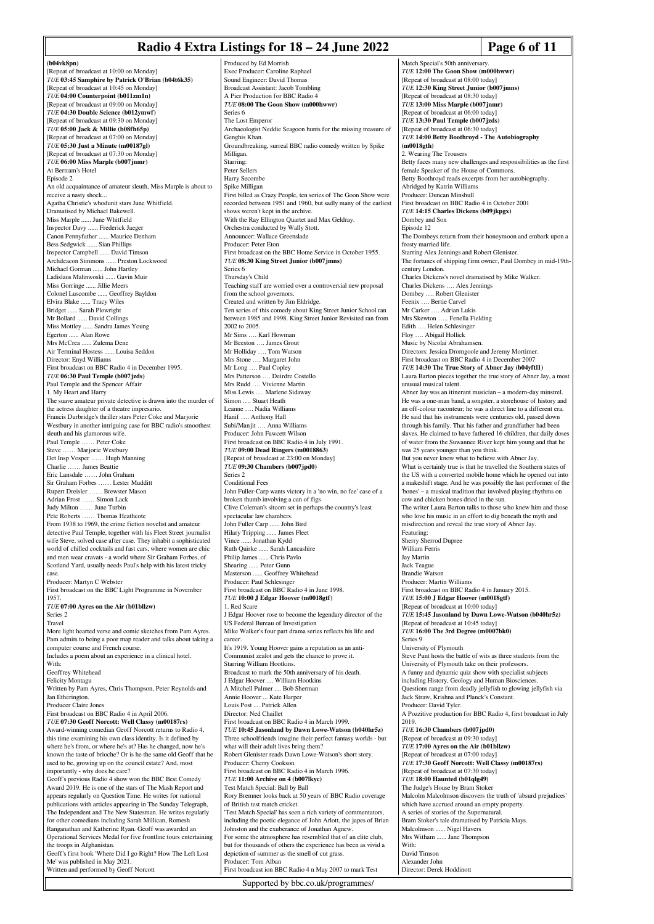## **Radio 4 Extra Listings for 18 – 24 June 2022** Page 6 of 11

Match Special's 50th anniversary. *TUE* **12:00 The Goon Show** (m000 [Repeat of broadcast at 08:00 today] *TUE* **12:30 King Street Junior (b007jmns)** [Repeat of broadcast at 08:30 today]

**(b04vk8pn)** [Repeat of broadcast at 10:00 on Monday] *TUE* **03:45 Samphire by Patrick O'Brian (b04t6k35)** [Repeat of broadcast at 10:45 on Monday] *TUE* **04:00 Counterpoint (b011zm1n)** [Repeat of broadcast at 09:00 on Monday] *TUE* **04:30 Double Science (b012ymwf)** [Repeat of broadcast at 09:30 on Monday] *TUE* **05:00 Jack & Millie (b08fh65p)** [Repeat of broadcast at 07:00 on Monday] *TUE* **05:30 Just a Minute (m00187gl)** [Repeat of broadcast at 07:30 on Monday] *TUE* **06:00 Miss Marple (b007jnmr)** At Bertram's Hotel Episode 2 An old acquaintance of amateur sleuth, Miss Marple is about to receive a nasty shock... Agatha Christie's whodunit stars June Whitfield. Dramatised by Michael Bakewell. Miss Marple ...... June Whitfield Inspector Davy ...... Frederick Jaeger Canon Pennyfather ...... Maurice Denham Bess Sedgwick ...... Sian Phillips Inspector Campbell ...... David Timson Archdeacon Simmons ...... Preston Lockwood Michael Gorman ...... John Hartley Ladislaus Malinwoski ...... Gavin Muir Miss Gorringe ...... Jillie Meers Colonel Luscombe ...... Geoffrey Bayldon Elvira Blake ...... Tracy Wiles Bridget ...... Sarah Plowright Mr Bollard ...... David Collings Miss Mottley ...... Sandra James Young Egerton ...... Alan Rowe Mrs McCrea ...... Zulema Dene Air Terminal Hostess ...... Louisa Seddon Director: Enyd Williams First broadcast on BBC Radio 4 in December 1995. *TUE* **06:30 Paul Temple (b007jzds)** Paul Temple and the Spencer Affair 1. My Heart and Harry The suave amateur private detective is drawn into the murder of the actress daughter of a theatre impresario. Francis Durbridge's thriller stars Peter Coke and Marjorie Westbury in another intriguing case for BBC radio's smoothest sleuth and his glamorous wife. Paul Temple …… Peter Coke Steve …… Marjorie Westbury Det Insp Vosper …… Hugh Manning Charlie …… James Beattie Eric Lansdale …… John Graham Sir Graham Forbes …… Lester Mudditt Rupert Dreisler …… Brewster Mason Adrian Frost …… Simon Lack Judy Milton …… June Turbin Pete Roberts …… Thomas Heathcote From 1938 to 1969, the crime fiction novelist and amateur detective Paul Temple, together with his Fleet Street journalist wife Steve, solved case after case. They inhabit a sophisticated world of chilled cocktails and fast cars, where women are chic and men wear cravats - a world where Sir Graham Forbes, of Scotland Yard, usually needs Paul's help with his latest tricky case. Producer: Martyn C Webster First broadcast on the BBC Light Programme in November 1957. *TUE* **07:00 Ayres on the Air (b01bllzw)** Series 2 Travel More light hearted verse and comic sketches from Pam Ayres. Pam admits to being a poor map reader and talks about taking a computer course and French course. Includes a poem about an experience in a clinical hotel. With: Geoffrey Whitehead Felicity Montagu Written by Pam Ayres, Chris Thompson, Peter Reynolds and Jan Etherington. Producer Claire Jone First broadcast on BBC Radio 4 in April 2006. *TUE* **07:30 Geoff Norcott: Well Classy (m00187rs)** Award-winning comedian Geoff Norcott returns to Radio 4, this time examining his own class identity. Is it defined by where he's from, or where he's at? Has he changed, now he's known the taste of brioche? Or is he the same old Geoff that he used to be, growing up on the council estate? And, most importantly - why does he care? Geoff's previous Radio 4 show won the BBC Best Comedy Award 2019. He is one of the stars of The Mash Report and appears regularly on Question Time. He writes for national publications with articles appearing in The Sunday Telegraph The Independent and The New Statesman. He writes regularly for other comedians including Sarah Millican, Romesh Ranganathan and Katherine Ryan. Geoff was awarded an Operational Services Medal for five frontline tours entertaining the troops in Afghanistan. Geoff's first book 'Where Did I go Right? How The Left Lost Me' was published in May 2021. Written and performed by Geoff Norcott

Produced by Ed Morrish Exec Producer: Caroline Raphael Sound Engineer: David Thomas Broadcast Assistant: Jacob Tombling A Pier Production for BBC Radio 4 *TUE* **08:00 The Goon Show (m000hwwr)** Series 6 The Lost Emperor Archaeologist Neddie Seagoon hunts for the missing treasure of Genghis Khan. Groundbreaking, surreal BBC radio comedy written by Spike Milligan. **Starring:** Peter Sellers Harry Secombe Spike Milligan First billed as Crazy People, ten series of The Goon Show were recorded between 1951 and 1960, but sadly many of the earliest shows weren't kept in the archive. With the Ray Ellington Quartet and Max Geldray. Orchestra conducted by Wally Stott. Announcer: Wallace Greenslade Producer: Peter Eton First broadcast on the BBC Home Service in October 1955. *TUE* **08:30 King Street Junior (b007jmns)** Series 6 Thursday's Child Teaching staff are worried over a controversial new proposal from the school governors. Created and written by Jim Eldridge. Ten series of this comedy about King Street Junior School ran between 1985 and 1998. King Street Junior Revisited ran from 2002 to 2005. Mr Sims …. Karl Howman Mr Beeston …. James Grout Mr Holliday …. Tom Watson Mrs Stone …. Margaret John Mr Long …. Paul Copley Mrs Patterson …. Deirdre Costello Mrs Rudd …. Vivienne Martin Miss Lewis …. Marlene Sidaway Simon .... Stuart Heath Leanne …. Nadia Williams Hanif …. Anthony Hall Subi/Manjit …. Anna Williams Producer: John Fawcett Wilson First broadcast on BBC Radio 4 in July 1991. *TUE* **09:00 Dead Ringers (m0018863)** [Repeat of broadcast at 23:00 on Monday] *TUE* **09:30 Chambers (b007jpd0)** Series 2 Conditional Fees John Fuller-Carp wants victory in a 'no win, no fee' case of a broken thumb involving a can of figs Clive Coleman's sitcom set in perhaps the country's least spectacular law chambers. John Fuller Carp ...... John Bird Hilary Tripping ...... James Fleet Vince ...... Jonathan Kydd Ruth Quirke ...... Sarah Lancashire Philip James ...... Chris Pavlo Shearing ...... Peter Gunn Masterson ...... Geoffrey Whitehead Producer: Paul Schlesinger First broadcast on BBC Radio 4 in June 1998. *TUE* **10:00 J Edgar Hoover (m0018gtf)** 1. Red Scare J Edgar Hoover rose to become the legendary director of the US Federal Bureau of Investigation Mike Walker's four part drama series reflects his life and career. It's 1919. Young Hoover gains a reputation as an anti-Communist zealot and gets the chance to prove it. Starring William Hootkins. Broadcast to mark the 50th anniversary of his death. J Edgar Hoover .... William Hootkins A Mitchell Palmer .... Bob Sherman Annie Hoover ... Kate Harper Louis Post .... Patrick Allen Director: Ned Chaillet First broadcast on BBC Radio 4 in March 1999. *TUE* **10:45 Jasonland by Dawn Lowe-Watson (b040hr5z)** Three schoolfriends imagine their perfect fantasy worlds - but what will their adult lives bring them? Robert Glenister reads Dawn Lowe-Watson's short story. Producer: Cherry Cookson First broadcast on BBC Radio 4 in March 1996. *TUE* **11:00 Archive on 4 (b007lkyc)** Test Match Special: Ball by Ball Rory Bremner looks back at 50 years of BBC Radio coverage of British test match cricket. 'Test Match Special' has seen a rich variety of commentators, including the poetic elegance of John Arlott, the japes of Brian Johnston and the exuberance of Jonathan Agnew. For some the atmosphere has resembled that of an elite club, but for thousands of others the experience has been as vivid a depiction of summer as the smell of cut grass. Producer: Tom Alban First broadcast ion BBC Radio 4 n May 2007 to mark Test

Supported by bbc.co.uk/programmes/

*TUE* **13:00 Miss Marple (b007jnmr)** [Repeat of broadcast at 06:00 today] *TUE* **13:30 Paul Temple (b007jzds)** [Repeat of broadcast at 06:30 today] *TUE* **14:00 Betty Boothroyd - The Autobiography (m0018gth)** 2. Wearing The Trousers Betty faces many new challenges and responsibilities as the first female Speaker of the House of Commons. Betty Boothroyd reads excerpts from her autobiography. Abridged by Katrin Williams Producer: Duncan Minshull First broadcast on BBC Radio 4 in October 2001 *TUE* **14:15 Charles Dickens (b09jkpgx)** Dombey and Son Episode 12 The Dombeys return from their honeymoon and embark upon a frosty married life. Starring Alex Jennings and Robert Glenister. The fortunes of shipping firm owner, Paul Dombey in mid-19thcentury London. Charles Dickens's novel dramatised by Mike Walker. Charles Dickens …. Alex Jennings Dombey …. Robert Glenister Feenix …. Bertie Carvel Mr Carker …. Adrian Lukis Mrs Skewton ….. Fenella Fielding Edith …. Helen Schlesinger Floy …. Abigail Hollick Music by Nicolai Abrahamsen. Directors: Jessica Dromgoole and Jeremy Mortimer. First broadcast on BBC Radio 4 in December 2007 *TUE* **14:30 The True Story of Abner Jay (b04yftl1)** Laura Barton pieces together the true story of Abner Jay, a most unusual musical talent. Abner Jay was an itinerant musician – a modern-day minstrel. He was a one-man band, a songster, a storehouse of history and an off-colour raconteur; he was a direct line to a different era. He said that his instruments were centuries old, passed down through his family. That his father and grandfather had been slaves. He claimed to have fathered 16 children, that daily dose of water from the Suwannee River kept him young and that he was 25 years younger than you think. But you never know what to believe with Abner Jay. What is certainly true is that he travelled the Southern states of the US with a converted mobile home which he opened out into a makeshift stage. And he was possibly the last performer of the 'bones' – a musical tradition that involved playing rhythms on cow and chicken bones dried in the sun. The writer Laura Barton talks to those who knew him and those who love his music in an effort to dig beneath the myth and misdirection and reveal the true story of Abner Jay. Featuring: Sherry Sherrod Dupree William Ferris Jay Martin Jack Teague Brandie Watson Producer: Martin Williams First broadcast on BBC Radio 4 in January 2015. *TUE* **15:00 J Edgar Hoover (m0018gtf)** [Repeat of broadcast at 10:00 today] *TUE* **15:45 Jasonland by Dawn Lowe-Watson (b040hr5z)** [Repeat of broadcast at 10:45 today] *TUE* **16:00 The 3rd Degree (m0007bk0)** Series 9 University of Plymouth Steve Punt hosts the battle of wits as three students from the University of Plymouth take on their professors. A funny and dynamic quiz show with specialist subjects including History, Geology and Human Biosciences. Questions range from deadly jellyfish to glowing jellyfish via Jack Straw, Krishna and Planck's Constant. Producer: David Tyler. A Pozzitive production for BBC Radio 4, first broadcast in July 2019. *TUE* **16:30 Chambers (b007jpd0)** [Repeat of broadcast at 09:30 today] *TUE* **17:00 Ayres on the Air (b01bllzw)** [Repeat of broadcast at 07:00 today] *TUE* **17:30 Geoff Norcott: Well Classy (m00187rs)** [Repeat of broadcast at 07:30 today] *TUE* **18:00 Haunted (b01qlg49)** The Judge's House by Bram Stoker Malcolm Malcolmson discovers the truth of 'absurd prejudices' which have accrued around an empty property. A series of stories of the Supernatural. Bram Stoker's tale dramatised by Patricia Mays. Malcolmson ...... Nigel Havers Mrs Witham ...... Jane Thompson With: David Timson Alexander John

Director: Derek Hoddinott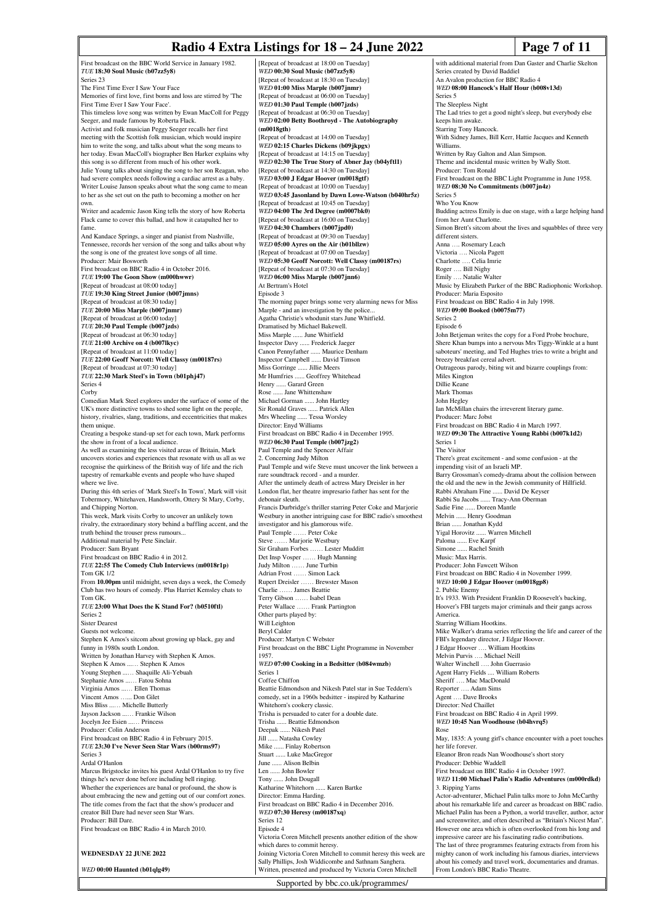# **Radio 4 Extra Listings for 18 – 24 June 2022** Page 7 of 11

First broadcast on the BBC World Service in January 1982. *TUE* **18:30 Soul Music (b07zz5y8)** Series 23 The First Time Ever I Saw Your Face Memories of first love, first borns and loss are stirred by 'The First Time Ever I Saw Your Face'. This timeless love song was written by Ewan MacColl for Peggy Seeger, and made famous by Roberta Flack. Activist and folk musician Peggy Seeger recalls her first meeting with the Scottish folk musician, which would inspire him to write the song, and talks about what the song means to her today. Ewan MacColl's biographer Ben Harker explains why this song is so different from much of his other work. Julie Young talks about singing the song to her son Reagan, who had severe complex needs following a cardiac arrest as a baby. Writer Louise Janson speaks about what the song came to mean to her as she set out on the path to becoming a mother on her own. Writer and academic Jason King tells the story of how Roberta Flack came to cover this ballad, and how it catapulted her to fame And Kandace Springs, a singer and pianist from Nashville, Tennessee, records her version of the song and talks about why the song is one of the greatest love songs of all time. Producer: Mair Bosworth First broadcast on BBC Radio 4 in October 2016. *TUE* **19:00 The Goon Show (m000hwwr)** [Repeat of broadcast at 08:00 today] *TUE* **19:30 King Street Junior (b007jmns)** [Repeat of broadcast at 08:30 today] *TUE* **20:00 Miss Marple (b007jnmr)** [Repeat of broadcast at 06:00 today] *TUE* **20:30 Paul Temple (b007jzds)** [Repeat of broadcast at 06:30 today] *TUE* **21:00 Archive on 4 (b007lkyc)** [Repeat of broadcast at 11:00 today] *TUE* **22:00 Geoff Norcott: Well Classy (m00187rs)** [Repeat of broadcast at 07:30 today] *TUE* **22:30 Mark Steel's in Town (b01phj47)** Series 4 Corby Comedian Mark Steel explores under the surface of some of the UK's more distinctive towns to shed some light on the people, history, rivalries, slang, traditions, and eccentricities that makes them unique. Creating a bespoke stand-up set for each town, Mark performs the show in front of a local audience. As well as examining the less visited areas of Britain, Mark uncovers stories and experiences that resonate with us all as we recognise the quirkiness of the British way of life and the rich tapestry of remarkable events and people who have shaped where we live. During this 4th series of 'Mark Steel's In Town', Mark will visit Tobermory, Whitehaven, Handsworth, Ottery St Mary, Corby, and Chipping Norton. This week, Mark visits Corby to uncover an unlikely town rivalry, the extraordinary story behind a baffling accent, and the truth behind the trouser press rumours... Additional material by Pete Sinclair. Producer: Sam Bryant First broadcast on BBC Radio 4 in 2012. *TUE* **22:55 The Comedy Club Interviews (m0018r1p)** Tom GK 1/2 From **10.00pm** until midnight, seven days a week, the Comedy Club has two hours of comedy. Plus Harriet Kemsley chats to Tom GK. *TUE* **23:00 What Does the K Stand For? (b0510ftl)** Series 2 Sister Dearest Guests not welcome. Stephen K Amos's sitcom about growing up black, gay and funny in 1980s south London. Written by Jonathan Harvey with Stephen K Amos. Stephen K Amos ...… Stephen K Amos Young Stephen ...… Shaquille Ali-Yebuah Stephanie Amos ...… Fatou Sohna Virginia Amos ...… Ellen Thomas Vincent Amos …... Don Gilet Miss Bliss ...... Michelle Butterly Jayson Jackson ...… Frankie Wilson Jocelyn Jee Esien ...… Princess Producer: Colin Anderson First broadcast on BBC Radio 4 in February 2015. *TUE* **23:30 I've Never Seen Star Wars (b00rms97)** Series 3 Ardal O'Hanlon Marcus Brigstocke invites his guest Ardal O'Hanlon to try five things he's never done before including bell ringing. Whether the experiences are banal or profound, the show is about embracing the new and getting out of our comfort zones. The title comes from the fact that the show's producer and creator Bill Dare had never seen Star Wars. Producer: Bill Dare. First broadcast on BBC Radio 4 in March 2010. **WEDNESDAY 22 JUNE 2022** *WED* **00:00 Haunted (b01qlg49)**

[Repeat of broadcast at 18:00 on Tuesday] *WED* **00:30 Soul Music (b07zz5y8)** [Repeat of broadcast at 18:30 on Tuesday] *WED* **01:00 Miss Marple (b007jnmr)** [Repeat of broadcast at 06:00 on Tuesday] *WED* **01:30 Paul Temple (b007jzds)** [Repeat of broadcast at 06:30 on Tuesday] *WED* **02:00 Betty Boothroyd - The Autobiography (m0018gth)** [Repeat of broadcast at 14:00 on Tuesday] *WED* **02:15 Charles Dickens (b09jkpgx)** [Repeat of broadcast at 14:15 on Tuesday] *WED* **02:30 The True Story of Abner Jay (b04yftl1)** [Repeat of broadcast at 14:30 on Tuesday] *WED* **03:00 J Edgar Hoover (m0018gtf)** [Repeat of broadcast at 10:00 on Tuesday] *WED* **03:45 Jasonland by Dawn Lowe-Watson (b040hr5z)** [Repeat of broadcast at 10:45 on Tuesday] *WED* **04:00 The 3rd Degree (m0007bk0)** [Repeat of broadcast at 16:00 on Tuesday] *WED* **04:30 Chambers (b007jpd0)** [Repeat of broadcast at 09:30 on Tuesday] *WED* **05:00 Ayres on the Air (b01bllzw)** [Repeat of broadcast at 07:00 on Tuesday] *WED* **05:30 Geoff Norcott: Well Classy (m00187rs)** [Repeat of broadcast at 07:30 on Tuesday] *WED* **06:00 Miss Marple (b007jnn6)** At Bertram's Hotel Episode 3 The morning paper brings some very alarming news for Miss Marple - and an investigation by the police. Agatha Christie's whodunit stars June Whitfield. Dramatised by Michael Bakewell. Miss Marple ...... June Whitfield Inspector Davy ...... Frederick Jaeger Canon Pennyfather ...... Maurice Denham Inspector Campbell ...... David Timson Miss Gorringe ...... Jillie Meers Mr Humfries ...... Geoffrey Whitehead Henry ...... Garard Green Rose ...... Jane Whittenshaw Michael Gorman ...... John Hartley Sir Ronald Graves ...... Patrick Allen Mrs Wheeling ...... Tessa Worsley Director: Enyd Williams First broadcast on BBC Radio 4 in December 1995. *WED* **06:30 Paul Temple (b007jzg2)** Paul Temple and the Spencer Affair 2. Concerning Judy Milton Paul Temple and wife Steve must uncover the link between a rare soundtrack record - and a murder. After the untimely death of actress Mary Dreisler in her London flat, her theatre impresario father has sent for the debonair sleuth. Francis Durbridge's thriller starring Peter Coke and Marjorie Westbury in another intriguing case for BBC radio's smoothest investigator and his glamorous wife. Paul Temple …… Peter Coke Steve …… Marjorie Westbury Sir Graham Forbes …… Lester Mudditt Det Insp Vosper …… Hugh Manning Judy Milton …… June Turbin Adrian Frost …… Simon Lack Rupert Dreisler …… Brewster Mason Charlie …… James Beattie Terry Gibson …… Isabel Dean Peter Wallace …… Frank Partington Other parts played by: Will Leighton Beryl Calder Producer: Martyn C Webster First broadcast on the BBC Light Programme in November 1957. *WED* **07:00 Cooking in a Bedsitter (b084wmzb)** Series 1 Coffee Chiffon Beattie Edmondson and Nikesh Patel star in Sue Teddern's comedy, set in a 1960s bedsitter - inspired by Katharine Whitehorn's cookery classic. Trisha is persuaded to cater for a double date. Trisha ...... Beattie Edmondson Deepak ...... Nikesh Patel Jill ...... Natasha Cowley Mike ...... Finlay Robertson Stuart ...... Luke MacGregor June ...... Alison Belbin Len ...... John Bowler Tony ...... John Dougall Katharine Whitehorn ...... Karen Bartke Director: Emma Harding. First broadcast on BBC Radio 4 in December 2016. *WED* **07:30 Heresy (m00187xq)** Series 12 Episode 4 Victoria Coren Mitchell presents another edition of the show which dares to commit heresy. Joining Victoria Coren Mitchell to commit heresy this week are Sally Phillips, Josh Widdicombe and Sathnam Sangher Written, presented and produced by Victoria Coren Mitchell

with additional material from Dan Gaster and Charlie Skelton Series created by David Baddiel An Avalon production for BBC Radio 4 *WED* **08:00 Hancock's Half Hour (b008v13d)** Series 5 The Sleepless Night The Lad tries to get a good night's sleep, but everybody else keeps him awake. Starring Tony Hancock. With Sidney James, Bill Kerr, Hattie Jacques and Kenneth Williams. Written by Ray Galton and Alan Simpson. Theme and incidental music written by Wally Stott. Producer: Tom Ronald First broadcast on the BBC Light Programme in June 1958. *WED* **08:30 No Commitments (b007jn4z)** Series 5 Who You Know Budding actress Emily is due on stage, with a large helping hand from her Aunt Charlotte. Simon Brett's sitcom about the lives and squabbles of three very different sisters. Anna …. Rosemary Leach Victoria …. Nicola Pagett Celia Imrie Roger …. Bill Nighy Emily …. Natalie Walter Music by Elizabeth Parker of the BBC Radiophonic Workshop. Producer: Maria Esposito First broadcast on BBC Radio 4 in July 1998. *WED* **09:00 Booked (b0075m77)** Series 2 Episode 6 John Betjeman writes the copy for a Ford Probe brochure, Shere Khan bumps into a nervous Mrs Tiggy-Winkle at a hunt saboteurs' meeting, and Ted Hughes tries to write a bright and breezy breakfast cereal advert. Outrageous parody, biting wit and bizarre couplings from: Miles Kington Dillie Keane Mark Thomas John Hegley Ian McMillan chairs the irreverent literary game. Producer: Marc Jobst First broadcast on BBC Radio 4 in March 1997. *WED* **09:30 The Attractive Young Rabbi (b007k1d2)** Series 1 The Visitor There's great excitement - and some confusion - at the impending visit of an Israeli MP. Barry Grossman's comedy-drama about the collision between the old and the new in the Jewish community of Hillfield. Rabbi Abraham Fine ...... David De Keyser Rabbi Su Jacobs ...... Tracy-Ann Oberman Sadie Fine ...... Doreen Mantle Melvin ...... Henry Goodman Brian ...... Jonathan Kydd Yigal Horovitz ...... Warren Mitchell Paloma ...... Eve Karpf<br>Simone ...... Rachel Sn ... Rachel Smith Music: Max Harris. Producer: John Fawcett Wilson First broadcast on BBC Radio 4 in November 1999. *WED* **10:00 J Edgar Hoover (m0018gp8)** 2. Public Ener It's 1933. With President Franklin D Roosevelt's backing, Hoover's FBI targets major criminals and their gangs across America. Starring William Hootkins. Mike Walker's drama series reflecting the life and career of the FBI's legendary director, J Edgar Hoover. J Edgar Hoover …. William Hootkins Melvin Purvis …. Michael Neill Walter Winchell …. John Guerrasio Agent Harry Fields .... William Roberts Sheriff .... Mac MacDonald Reporter …. Adam Sims Agent …. Dave Brooks Director: Ned Chaillet First broadcast on BBC Radio 4 in April 1999. *WED* **10:45 Nan Woodhouse (b04hvrq5)** Rose May, 1835: A young girl's chance encounter with a poet touches her life forever. Eleanor Bron reads Nan Woodhouse's short story Producer: Debbie Waddell First broadcast on BBC Radio 4 in October 1997. *WED* **11:00 Michael Palin's Radio Adventures (m000rdkd)** 3. Ripping Yarns Actor-adventurer, Michael Palin talks more to John McCarthy about his remarkable life and career as broadcast on BBC radio. Michael Palin has been a Python, a world traveller, author, actor and screenwriter, and often described as "Britain's Nicest Man". However one area which is often overlooked from his long and impressive career are his fascinating radio contributions. The last of three programmes featuring extracts from from his mighty canon of work including his famous diaries, interviews about his comedy and travel work, documentaries and dramas. From London's BBC Radio Theatre.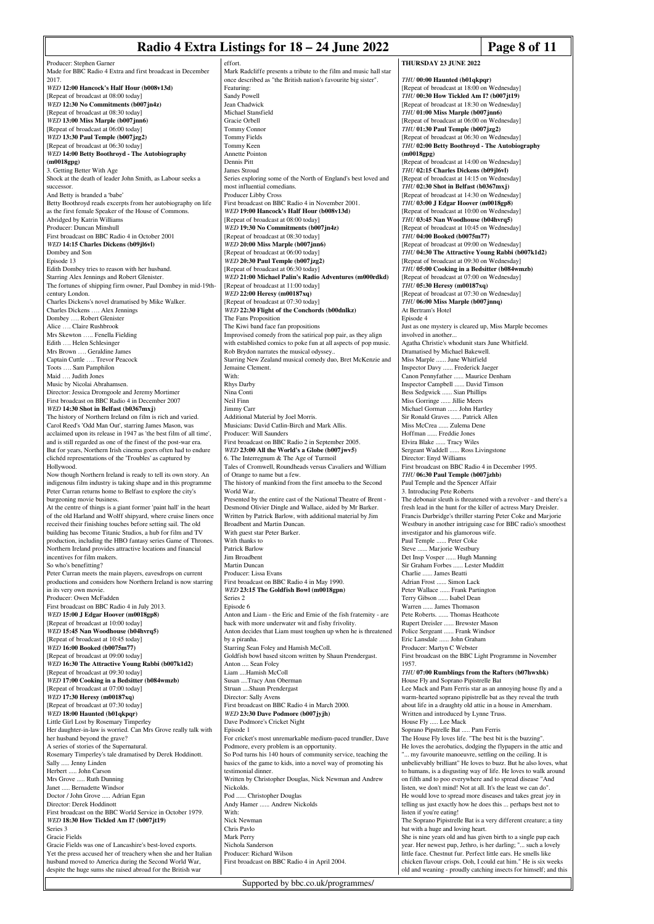### **Radio 4 Extra Listings for 18 – 24 June 2022** Page 8 of 11

Producer: Stephen Garner Made for BBC Radio 4 Extra and first broadcast in December 2017. *WED* **12:00 Hancock's Half Hour (b008v13d)** [Repeat of broadcast at 08:00 today] *WED* **12:30 No Commitments (b007jn4z)** [Repeat of broadcast at 08:30 today] *WED* **13:00 Miss Marple (b007jnn6)** [Repeat of broadcast at 06:00 today] *WED* **13:30 Paul Temple (b007jzg2)** [Repeat of broadcast at 06:30 today] *WED* **14:00 Betty Boothroyd - The Autobiography (m0018gpg)** 3. Getting Better With Age Shock at the death of leader John Smith, as Labour seeks a successor. And Betty is branded a 'babe' Betty Boothroyd reads excerpts from her autobiography on life as the first female Speaker of the House of Common Abridged by Katrin Williams Producer: Duncan Minshull First broadcast on BBC Radio 4 in October 2001 *WED* **14:15 Charles Dickens (b09jl6vl)** Dombey and Son Episode 13 Edith Dombey tries to reason with her husband. Starring Alex Jennings and Robert Glenister. The fortunes of shipping firm owner, Paul Dombey in mid-19thcentury London. Charles Dickens's novel dramatised by Mike Walker. Charles Dickens …. Alex Jennings Dombey …. Robert Glenister Alice …. Claire Rushbrook Mrs Skewton ….. Fenella Fielding Edith …. Helen Schlesinger Mrs Brown …. Geraldine James Captain Cuttle …. Trevor Peacock Toots …. Sam Pamphilon Maid …. Judith Jones Music by Nicolai Abrahamsen. Director: Jessica Dromgoole and Jeremy Mortimer First broadcast on BBC Radio 4 in December 2007 *WED* **14:30 Shot in Belfast (b0367mxj)** The history of Northern Ireland on film is rich and varied. Carol Reed's 'Odd Man Out', starring James Mason, was acclaimed upon its release in 1947 as 'the best film of all time', and is still regarded as one of the finest of the post-war era. But for years, Northern Irish cinema goers often had to endure clichéd representations of the 'Troubles' as captured by Hollywood. Now though Northern Ireland is ready to tell its own story. An indigenous film industry is taking shape and in this programme Peter Curran returns home to Belfast to explore the city's burgeoning movie business. At the centre of things is a giant former 'paint hall' in the heart of the old Harland and Wolff shipyard, where cruise liners once received their finishing touches before setting sail. The old building has become Titanic Studios, a hub for film and TV production, including the HBO fantasy series Game of Thrones. Northern Ireland provides attractive locations and financial incentives for film makers. So who's benefitting? Peter Curran meets the main players, eavesdrops on current productions and considers how Northern Ireland is now starring in its very own movie. Producer: Owen McFadden First broadcast on BBC Radio 4 in July 2013. *WED* **15:00 J Edgar Hoover (m0018gp8)** [Repeat of broadcast at 10:00 today] *WED* **15:45 Nan Woodhouse (b04hvrq5)** [Repeat of broadcast at 10:45 today] *WED* **16:00 Booked (b0075m77)** [Repeat of broadcast at 09:00 today] *WED* **16:30 The Attractive Young Rabbi (b007k1d2)** [Repeat of broadcast at 09:30 today] *WED* **17:00 Cooking in a Bedsitter (b084wmzb)** [Repeat of broadcast at 07:00 today] *WED* **17:30 Heresy (m00187xq)** [Repeat of broadcast at 07:30 today] *WED* **18:00 Haunted (b01qkpqr)** Little Girl Lost by Rosemary Timperley Her daughter-in-law is worried. Can Mrs Grove really talk with her husband beyond the grave? A series of stories of the Supernatural. Rosemary Timperley's tale dramatised by Derek Hoddinott. Sally ..... Jenny Linden Herbert ..... John Carson Mrs Grove ..... Ruth Dunning Janet ..... Bernadette Windsor Doctor / John Grove ..... Adrian Egan Director: Derek Hoddinott First broadcast on the BBC World Service in October 1979. *WED* **18:30 How Tickled Am I? (b007jt19)** Series 3 Gracie Fields Gracie Fields was one of Lancashire's best-loved exports. Yet the press accused her of treachery when she and her Italian husband moved to America during the Second World War, despite the huge sums she raised abroad for the British war

effort. Mark Radcliffe presents a tribute to the film and music hall star once described as "the British nation's favourite big sister". Featuring: Sandy Powell Jean Chadwick Michael Stansfield Gracie Orbell Tommy Conno Tommy Fields Tommy Keen en<br>Annette Pointo Dennis Pitt James Stroud Series exploring some of the North of England's best loved and most influential comedians. Producer Libby Cross First broadcast on BBC Radio 4 in November 2001. *WED* **19:00 Hancock's Half Hour (b008v13d)** [Repeat of broadcast at 08:00 today] *WED* **19:30 No Commitments (b007jn4z)** [Repeat of broadcast at 08:30 today] *WED* **20:00 Miss Marple (b007jnn6)** [Repeat of broadcast at 06:00 today] *WED* **20:30 Paul Temple (b007jzg2)** [Repeat of broadcast at 06:30 today] *WED* **21:00 Michael Palin's Radio Adventures (m000rdkd)** [Repeat of broadcast at 11:00 today] *WED* **22:00 Heresy (m00187xq)** [Repeat of broadcast at 07:30 today] *WED* **22:30 Flight of the Conchords (b00dnlkz)** The Fans Proposition The Kiwi band face fan propositions Improvised comedy from the satirical pop pair, as they align with established comics to poke fun at all aspects of pop music. Rob Brydon narrates the musical odyssey.. Starring New Zealand musical comedy duo, Bret McKenzie and Jemaine Clement. With: Rhys Darby Nina Conti Neil Finn Jimmy Carr Additional Material by Joel Morris. Musicians: David Catlin-Birch and Mark Allis. Producer: Will Saunders First broadcast on BBC Radio 2 in September 2005. *WED* **23:00 All the World's a Globe (b007jwv5)** 6. The Interregnum & The Age of Turmoil Tales of Cromwell, Roundheads versus Cavaliers and William of Orange to name but a few. The history of mankind from the first amoeba to the Second World War. Presented by the entire cast of the National Theatre of Brent -Desmond Olivier Dingle and Wallace, aided by Mr Barker. Written by Patrick Barlow, with additional material by Jim Broadbent and Martin Duncan. With guest star Peter Barker. With thanks to Patrick Barlow Jim Broadbent Martin Duncan Producer: Lissa Evans First broadcast on BBC Radio 4 in May 1990. *WED* **23:15 The Goldfish Bowl (m0018gpn)** Series 2 Episode 6 Anton and Liam - the Eric and Ernie of the fish fraternity - are back with more underwater wit and fishy frivolity. Anton decides that Liam must toughen up when he is threatened by a piranha. Starring Sean Foley and Hamish McColl. Goldfish bowl based sitcom written by Shaun Prendergast. Anton .... Sean Foley Liam ....Hamish McColl Susan ....Tracy Ann Oberman Struan ....Shaun Prendergast Director: Sally Avens First broadcast on BBC Radio 4 in March 2000. *WED* **23:30 Dave Podmore (b007jyjh)** Dave Podmore's Cricket Night Episode 1 For cricket's most unremarkable medium-paced trundler, Dave Podmore, every problem is an opportunity. So Pod turns his  $140$  hours of community service, teaching the basics of the game to kids, into a novel way of promoting his testimonial dinner. Written by Christopher Douglas, Nick Newman and Andrew Nickolds. Pod ...... Christopher Douglas Andy Hamer ...... Andrew Nickolds With: Nick Newman Chris Pavlo Mark Perry Nichola Sanderson Producer: Richard Wilson First broadcast on BBC Radio 4 in April 2004. old and weaning - proudly catching insects for himself; and this

**THURSDAY 23 JUNE 2022** *THU* **00:00 Haunted (b01qkpqr)** [Repeat of broadcast at 18:00 on Wednesday] *THU* **00:30 How Tickled Am I? (b007jt19)** [Repeat of broadcast at 18:30 on Wednesday] *THU* **01:00 Miss Marple (b007jnn6)** [Repeat of broadcast at 06:00 on Wednesday] *THU* **01:30 Paul Temple (b007jzg2)** [Repeat of broadcast at 06:30 on Wednesday] *THU* **02:00 Betty Boothroyd - The Autobiography (m0018gpg)** [Repeat of broadcast at 14:00 on Wednesday] *THU* **02:15 Charles Dickens (b09jl6vl)** [Repeat of broadcast at 14:15 on Wednesday] *THU* **02:30 Shot in Belfast (b0367mxj)** [Repeat of broadcast at 14:30 on Wednesday] *THU* **03:00 J Edgar Hoover (m0018gp8)** [Repeat of broadcast at 10:00 on Wednesday] *THU* **03:45 Nan Woodhouse (b04hvrq5)** [Repeat of broadcast at 10:45 on Wedn *THU* **04:00 Booked (b0075m77)** [Repeat of broadcast at 09:00 on Wednesday] *THU* **04:30 The Attractive Young Rabbi (b007k1d2)** [Repeat of broadcast at 09:30 on Wednesday] *THU* **05:00 Cooking in a Bedsitter (b084wmzb)** [Repeat of broadcast at 07:00 on Wednesday] *THU* **05:30 Heresy (m00187xq)** [Repeat of broadcast at 07:30 on Wednesday] *THU* **06:00 Miss Marple (b007jnnq)** At Bertram's Hotel Episode 4 Just as one mystery is cleared up, Miss Marple becomes involved in another. Agatha Christie's whodunit stars June Whitfield. Dramatised by Michael Bakewell. Miss Marple ...... June Whitfield Inspector Davy ...... Frederick Jaeger Canon Pennyfather ...... Maurice Denham Inspector Campbell ...... David Timson Bess Sedgwick ...... Sian Phillips Miss Gorringe ...... Jillie Meers Michael Gorman ...... John Hartley Sir Ronald Graves ...... Patrick Allen Miss McCrea ...... Zulema Dene Hoffman ...... Freddie Jones Elvira Blake ...... Tracy Wiles Sergeant Waddell ...... Ross Livingstone Director: Enyd Williams First broadcast on BBC Radio 4 in December 1995. *THU* **06:30 Paul Temple (b007jzhb)** Paul Temple and the Spencer Affair 3. Introducing Pete Roberts The debonair sleuth is threatened with a revolver - and there's a fresh lead in the hunt for the killer of actress Mary Dreisler. Francis Durbridge's thriller starring Peter Coke and Marjorie Westbury in another intriguing case for BBC radio's smoothest investigator and his glamorous wife. Paul Temple ...... Peter Coke Steve ...... Marjorie Westbury Det Insp Vosper ...... Hugh Manning Sir Graham Forbes ...... Lester Mudditt Charlie ...... James Beatti Adrian Frost ...... Simon Lack Peter Wallace ...... Frank Partington Terry Gibson ...... Isabel Dean Warren ...... James Thomason Pete Roberts. ...... Thomas Heathcote Rupert Dreisler ...... Brewster Mason Police Sergeant ...... Frank Windsor Eric Lansdale ...... John Graham Producer: Martyn C Webster First broadcast on the BBC Light Programme in November 1957. *THU* **07:00 Rumblings from the Rafters (b07hwxbk)** House Fly and Soprano Pipistrelle Bat Lee Mack and Pam Ferris star as an annoying house fly and a warm-hearted soprano pipistrelle bat as they reveal the truth about life in a draughty old attic in a house in Amersham. Written and introduced by Lynne Truss. House Fly ..... Lee Mack Soprano Pipstrelle Bat ..... Pam Ferris The House Fly loves life. "The best bit is the buzzing". He loves the aerobatics, dodging the flypapers in the attic and ... my favourite manoeuvre, settling on the ceiling. It is unbelievably brilliant" He loves to buzz. But he also loves, what to humans, is a disgusting way of life. He loves to walk around on filth and to poo everywhere and to spread disease "And listen, we don't mind! Not at all. It's the least we can do". He would love to spread more diseases and takes great joy in telling us just exactly how he does this ... perhaps best not to listen if you're eating! The Soprano Pipistrelle Bat is a very different creature; a tiny bat with a huge and loving heart. She is nine years old and has given birth to a single pup each year. Her newest pup, Jethro, is her darling; "... such a lovely little face. Chestnut fur. Perfect little ears. He smells like chicken flavour crisps. Ooh, I could eat him." He is six weeks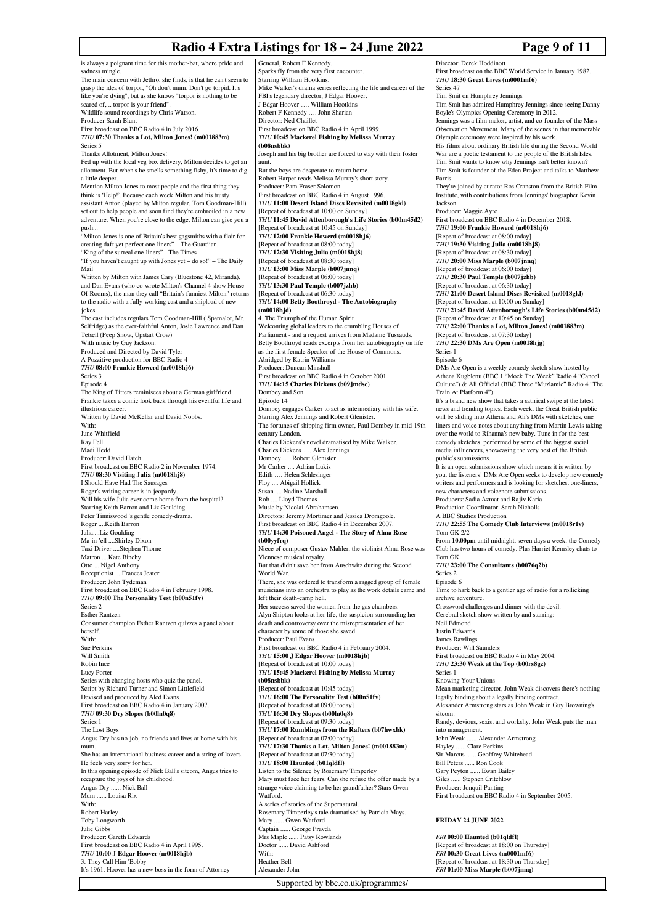# **Radio 4 Extra Listings for 18 – 24 June 2022** Page 9 of 11

| is always a poignant time for this mother-bat, where pride and                                                                  | General, Robert F Kennedy.                                                                         | Director: Derek Hoddinott                                                                                                      |
|---------------------------------------------------------------------------------------------------------------------------------|----------------------------------------------------------------------------------------------------|--------------------------------------------------------------------------------------------------------------------------------|
| sadness mingle.                                                                                                                 | Sparks fly from the very first encounter.                                                          | First broadcast on the BBC World Service in January 1982.                                                                      |
| The main concern with Jethro, she finds, is that he can't seem to                                                               | Starring William Hootkins.                                                                         | THU 18:30 Great Lives (m0001mf6)                                                                                               |
| grasp the idea of torpor, "Oh don't mum. Don't go torpid. It's                                                                  | Mike Walker's drama series reflecting the life and career of the                                   | Series 47                                                                                                                      |
| like you're dying", but as she knows "torpor is nothing to be                                                                   | FBI's legendary director, J Edgar Hoover.                                                          | Tim Smit on Humphrey Jennings                                                                                                  |
| scared of,  torpor is your friend".                                                                                             | J Edgar Hoover  William Hootkins                                                                   | Tim Smit has admired Humphrey Jennings since seeing Danny                                                                      |
| Wildlife sound recordings by Chris Watson.<br>Producer Sarah Blunt                                                              | Robert F Kennedy  John Sharian<br>Director: Ned Chaillet                                           | Boyle's Olympics Opening Ceremony in 2012.                                                                                     |
| First broadcast on BBC Radio 4 in July 2016.                                                                                    | First broadcast on BBC Radio 4 in April 1999.                                                      | Jennings was a film maker, artist, and co-founder of the Mass<br>Observation Movement. Many of the scenes in that memorable    |
| THU 07:30 Thanks a Lot, Milton Jones! (m001883m)                                                                                | THU 10:45 Mackerel Fishing by Melissa Murray                                                       | Olympic ceremony were inspired by his work.                                                                                    |
| Series 5                                                                                                                        | (b08nsbbk)                                                                                         | His films about ordinary British life during the Second World                                                                  |
| Thanks Allotment, Milton Jones!                                                                                                 | Joseph and his big brother are forced to stay with their foster                                    | War are a poetic testament to the people of the British Isles.                                                                 |
| Fed up with the local veg box delivery, Milton decides to get an                                                                | aunt.                                                                                              | Tim Smit wants to know why Jennings isn't better known?                                                                        |
| allotment. But when's he smells something fishy, it's time to dig                                                               | But the boys are desperate to return home.                                                         | Tim Smit is founder of the Eden Project and talks to Matthew                                                                   |
| a little deeper.                                                                                                                | Robert Harper reads Melissa Murray's short story.                                                  | Parris.                                                                                                                        |
| Mention Milton Jones to most people and the first thing they                                                                    | Producer: Pam Fraser Solomon                                                                       | They're joined by curator Ros Cranston from the British Film                                                                   |
| think is 'Help!'. Because each week Milton and his trusty                                                                       | First broadcast on BBC Radio 4 in August 1996.                                                     | Institute, with contributions from Jennings' biographer Kevin                                                                  |
| assistant Anton (played by Milton regular, Tom Goodman-Hill)<br>set out to help people and soon find they're embroiled in a new | THU 11:00 Desert Island Discs Revisited (m0018gkl)                                                 | Jackson                                                                                                                        |
| adventure. When you're close to the edge, Milton can give you a                                                                 | [Repeat of broadcast at 10:00 on Sunday]<br>THU 11:45 David Attenborough's Life Stories (b00m45d2) | Producer: Maggie Ayre<br>First broadcast on BBC Radio 4 in December 2018.                                                      |
| push                                                                                                                            | [Repeat of broadcast at 10:45 on Sunday]                                                           | THU 19:00 Frankie Howerd (m0018hj6)                                                                                            |
| "Milton Jones is one of Britain's best gagsmiths with a flair for                                                               | THU 12:00 Frankie Howerd (m0018hj6)                                                                | [Repeat of broadcast at 08:00 today]                                                                                           |
| creating daft yet perfect one-liners" - The Guardian.                                                                           | [Repeat of broadcast at 08:00 today]                                                               | THU 19:30 Visiting Julia (m0018hj8)                                                                                            |
| "King of the surreal one-liners" - The Times                                                                                    | THU 12:30 Visiting Julia (m0018hj8)                                                                | [Repeat of broadcast at 08:30 today]                                                                                           |
| "If you haven't caught up with Jones yet - do so!" - The Daily                                                                  | [Repeat of broadcast at 08:30 today]                                                               | THU 20:00 Miss Marple (b007jnnq)                                                                                               |
| Mail                                                                                                                            | THU 13:00 Miss Marple (b007jnnq)                                                                   | [Repeat of broadcast at 06:00 today]                                                                                           |
| Written by Milton with James Cary (Bluestone 42, Miranda),                                                                      | [Repeat of broadcast at 06:00 today]                                                               | THU 20:30 Paul Temple (b007jzhb)                                                                                               |
| and Dan Evans (who co-wrote Milton's Channel 4 show House                                                                       | THU 13:30 Paul Temple (b007jzhb)                                                                   | [Repeat of broadcast at 06:30 today]                                                                                           |
| Of Rooms), the man they call "Britain's funniest Milton" returns                                                                | [Repeat of broadcast at 06:30 today]                                                               | THU 21:00 Desert Island Discs Revisited (m0018gkl)                                                                             |
| to the radio with a fully-working cast and a shipload of new<br>jokes.                                                          | THU 14:00 Betty Boothroyd - The Autobiography<br>(m0018hjd)                                        | [Repeat of broadcast at 10:00 on Sunday]<br>THU 21:45 David Attenborough's Life Stories (b00m45d2)                             |
| The cast includes regulars Tom Goodman-Hill (Spamalot, Mr.                                                                      | 4. The Triumph of the Human Spirit                                                                 | [Repeat of broadcast at 10:45 on Sunday]                                                                                       |
| Selfridge) as the ever-faithful Anton, Josie Lawrence and Dan                                                                   | Welcoming global leaders to the crumbling Houses of                                                | THU 22:00 Thanks a Lot, Milton Jones! (m001883m)                                                                               |
| Tetsell (Peep Show, Upstart Crow)                                                                                               | Parliament - and a request arrives from Madame Tussauds.                                           | [Repeat of broadcast at 07:30 today]                                                                                           |
| With music by Guy Jackson.                                                                                                      | Betty Boothroyd reads excerpts from her autobiography on life                                      | THU 22:30 DMs Are Open (m0018hjg)                                                                                              |
| Produced and Directed by David Tyler                                                                                            | as the first female Speaker of the House of Commons.                                               | Series 1                                                                                                                       |
| A Pozzitive production for BBC Radio 4                                                                                          | Abridged by Katrin Williams                                                                        | Episode 6                                                                                                                      |
| THU 08:00 Frankie Howerd (m0018hj6)                                                                                             | Producer: Duncan Minshull                                                                          | DMs Are Open is a weekly comedy sketch show hosted by                                                                          |
| Series 3                                                                                                                        | First broadcast on BBC Radio 4 in October 2001                                                     | Athena Kugblenu (BBC 1 "Mock The Week" Radio 4 "Cancel                                                                         |
| Episode 4<br>The King of Titters reminisces about a German girlfriend.                                                          | THU 14:15 Charles Dickens (b09jmdsc)<br>Dombey and Son                                             | Culture") & Ali Official (BBC Three "Muzlamic" Radio 4 "Th<br>Train At Platform 4")                                            |
| Frankie takes a comic look back through his eventful life and                                                                   | Episode 14                                                                                         | It's a brand new show that takes a satirical swipe at the latest                                                               |
| illustrious career.                                                                                                             | Dombey engages Carker to act as intermediary with his wife.                                        | news and trending topics. Each week, the Great British public                                                                  |
| Written by David McKellar and David Nobbs.                                                                                      | Starring Alex Jennings and Robert Glenister.                                                       | will be sliding into Athena and Ali's DMs with sketches, one                                                                   |
| With:                                                                                                                           | The fortunes of shipping firm owner, Paul Dombey in mid-19th-                                      | liners and voice notes about anything from Martin Lewis taking                                                                 |
| June Whitfield                                                                                                                  | century London.                                                                                    | over the world to Rihanna's new baby. Tune in for the best                                                                     |
| Ray Fell                                                                                                                        | Charles Dickens's novel dramatised by Mike Walker.                                                 | comedy sketches, performed by some of the biggest social                                                                       |
| Madi Hedd                                                                                                                       | Charles Dickens  Alex Jennings                                                                     | media influencers, showcasing the very best of the British                                                                     |
| Producer: David Hatch.                                                                                                          | Dombey  Robert Glenister                                                                           | public's submissions.                                                                                                          |
| First broadcast on BBC Radio 2 in November 1974.<br>THU 08:30 Visiting Julia (m0018hj8)                                         | Mr Carker  Adrian Lukis<br>Edith  Helen Schlesinger                                                | It is an open submissions show which means it is written by                                                                    |
| I Should Have Had The Sausages                                                                                                  | Floy  Abigail Hollick                                                                              | you, the listeners! DMs Are Open seeks to develop new comed<br>writers and performers and is looking for sketches, one-liners, |
| Roger's writing career is in jeopardy.                                                                                          | Susan  Nadine Marshall                                                                             | new characters and voicenote submissions.                                                                                      |
| Will his wife Julia ever come home from the hospital?                                                                           | Rob  Lloyd Thomas                                                                                  | Producers: Sadia Azmat and Rajiv Karia                                                                                         |
|                                                                                                                                 | Music by Nicolai Abrahamsen.                                                                       | Production Coordinator: Sarah Nicholls                                                                                         |
| Starring Keith Barron and Liz Goulding.                                                                                         |                                                                                                    |                                                                                                                                |
| Peter Tinniswood 's gentle comedy-drama.                                                                                        | Directors: Jeremy Mortimer and Jessica Dromgoole.                                                  | A BBC Studios Production                                                                                                       |
| Roger  Keith Barron                                                                                                             | First broadcast on BBC Radio 4 in December 2007.                                                   | THU 22:55 The Comedy Club Interviews (m0018r1v)                                                                                |
| JuliaLiz Goulding                                                                                                               | THU 14:30 Poisoned Angel - The Story of Alma Rose                                                  | Tom GK 2/2                                                                                                                     |
| Ma-in-'ell Shirley Dixon                                                                                                        | $(b00$ yyfrq $)$                                                                                   | From 10.00pm until midnight, seven days a week, the Comedy                                                                     |
| Taxi Driver Stephen Thorne                                                                                                      | Niece of composer Gustav Mahler, the violinist Alma Rose was                                       | Club has two hours of comedy. Plus Harriet Kemsley chats to                                                                    |
| Matron  Kate Binchy                                                                                                             | Viennese musical royalty.                                                                          | Tom GK.                                                                                                                        |
| Otto Nigel Anthony                                                                                                              | But that didn't save her from Auschwitz during the Second<br>World War.                            | THU 23:00 The Consultants (b0076q2b)<br>Series <sub>2</sub>                                                                    |
| Receptionist  Frances Jeater<br>Producer: John Tydeman                                                                          | There, she was ordered to transform a ragged group of female                                       | Episode 6                                                                                                                      |
| First broadcast on BBC Radio 4 in February 1998.                                                                                | musicians into an orchestra to play as the work details came and                                   | Time to hark back to a gentler age of radio for a rollicking                                                                   |
| THU 09:00 The Personality Test (b00n51fv)                                                                                       | left their death-camp hell.                                                                        | archive adventure.                                                                                                             |
| Series <sub>2</sub>                                                                                                             | Her success saved the women from the gas chambers.                                                 | Crossword challenges and dinner with the devil.                                                                                |
| <b>Esther Rantzen</b>                                                                                                           | Alyn Shipton looks at her life, the suspicion surrounding her                                      | Cerebral sketch show written by and starring:                                                                                  |
| Consumer champion Esther Rantzen quizzes a panel about                                                                          | death and controversy over the misrepresentation of her                                            | Neil Edmond                                                                                                                    |
| herself.<br>With:                                                                                                               | character by some of those she saved.                                                              | Justin Edwards                                                                                                                 |
| Sue Perkins                                                                                                                     | Producer: Paul Evans<br>First broadcast on BBC Radio 4 in February 2004.                           | <b>James Rawlings</b><br>Producer: Will Saunders                                                                               |
| Will Smith                                                                                                                      | THU 15:00 J Edgar Hoover (m0018hjb)                                                                | First broadcast on BBC Radio 4 in May 2004.                                                                                    |
| Robin Ince                                                                                                                      | [Repeat of broadcast at 10:00 today]                                                               | THU 23:30 Weak at the Top (b00rs8gz)                                                                                           |
| <b>Lucy Porter</b>                                                                                                              | THU 15:45 Mackerel Fishing by Melissa Murray                                                       | Series 1                                                                                                                       |
| Series with changing hosts who quiz the panel.                                                                                  | (b08nsbbk)                                                                                         | Knowing Your Unions                                                                                                            |
| Script by Richard Turner and Simon Littlefield                                                                                  | [Repeat of broadcast at 10:45 today]                                                               | Mean marketing director, John Weak discovers there's nothing                                                                   |
| Devised and produced by Aled Evans.                                                                                             | THU 16:00 The Personality Test (b00n51fv)                                                          | legally binding about a legally binding contract.                                                                              |
| First broadcast on BBC Radio 4 in January 2007.                                                                                 | [Repeat of broadcast at 09:00 today]                                                               | Alexander Armstrong stars as John Weak in Guy Browning's                                                                       |
| THU 09:30 Dry Slopes (b00ln0q8)<br>Series 1                                                                                     | THU 16:30 Dry Slopes (b00ln0q8)<br>[Repeat of broadcast at 09:30 today]                            | sitcom.<br>Randy, devious, sexist and workshy, John Weak puts the man                                                          |
| The Lost Boys                                                                                                                   | THU 17:00 Rumblings from the Rafters (b07hwxbk)                                                    | into management.                                                                                                               |
| Angus Dry has no job, no friends and lives at home with his                                                                     | [Repeat of broadcast at 07:00 today]                                                               | John Weak  Alexander Armstrong                                                                                                 |
| mum.                                                                                                                            | THU 17:30 Thanks a Lot, Milton Jones! (m001883m)                                                   | Hayley  Clare Perkins                                                                                                          |
| She has an international business career and a string of lovers.                                                                | [Repeat of broadcast at 07:30 today]                                                               | Sir Marcus  Geoffrey Whitehead                                                                                                 |
| He feels very sorry for her.                                                                                                    | THU 18:00 Haunted (b01qldfl)                                                                       | Bill Peters  Ron Cook                                                                                                          |
| In this opening episode of Nick Ball's sitcom, Angus tries to                                                                   | Listen to the Silence by Rosemary Timperley                                                        | Gary Peyton  Ewan Bailey                                                                                                       |
| recapture the joys of his childhood.                                                                                            | Mary must face her fears. Can she refuse the offer made by a                                       | Giles  Stephen Critchlow                                                                                                       |
| Angus Dry  Nick Ball                                                                                                            | strange voice claiming to be her grandfather? Stars Gwen                                           | Producer: Jonquil Panting                                                                                                      |
| Mum  Louisa Rix<br>With:                                                                                                        | Watford.<br>A series of stories of the Supernatural.                                               | First broadcast on BBC Radio 4 in September 2005.                                                                              |
| Robert Harley                                                                                                                   | Rosemary Timperley's tale dramatised by Patricia Mays.                                             |                                                                                                                                |
| Toby Longworth                                                                                                                  | Mary  Gwen Watford                                                                                 | <b>FRIDAY 24 JUNE 2022</b>                                                                                                     |
| Julie Gibbs                                                                                                                     | Captain  George Pravda                                                                             |                                                                                                                                |
| Producer: Gareth Edwards                                                                                                        | Mrs Maple  Patsy Rowlands                                                                          | FRI 00:00 Haunted (b01qldfl)                                                                                                   |
| First broadcast on BBC Radio 4 in April 1995.                                                                                   | Doctor  David Ashford                                                                              | [Repeat of broadcast at 18:00 on Thursday]                                                                                     |
| THU 10:00 J Edgar Hoover (m0018hjb)                                                                                             | With:                                                                                              | FRI 00:30 Great Lives (m0001mf6)                                                                                               |
| 3. They Call Him 'Bobby'<br>It's 1961. Hoover has a new boss in the form of Attorney                                            | Heather Bell<br>Alexander John                                                                     | [Repeat of broadcast at 18:30 on Thursday]<br>FRI 01:00 Miss Marple (b007jnnq)                                                 |

### **2022**

Supported by bbc.co.uk/programmes/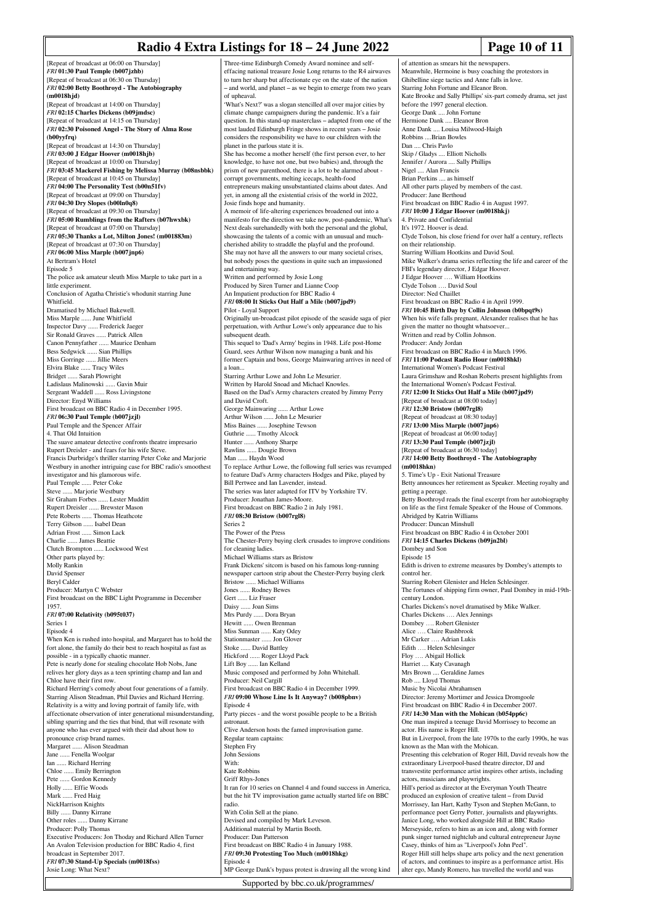## **Radio 4 Extra Listings for 18 – 24 June 2022 Page 10 of 11**

[Repeat of broadcast at 06:00 on Thursday] *FRI* **01:30 Paul Temple (b007jzhb)** [Repeat of broadcast at 06:30 on Thursday] *FRI* **02:00 Betty Boothroyd - The Autobiography (m0018hjd)** [Repeat of broadcast at 14:00 on Thursday] *FRI* **02:15 Charles Dickens (b09jmdsc)** [Repeat of broadcast at 14:15 on Thursday] *FRI* **02:30 Poisoned Angel - The Story of Alma Rose (b00yyfrq)** [Repeat of broadcast at 14:30 on Thursday] *FRI* **03:00 J Edgar Hoover (m0018hjb)** [Repeat of broadcast at 10:00 on Thursday] *FRI* **03:45 Mackerel Fishing by Melissa Murray (b08nsbbk)** [Repeat of broadcast at 10:45 on Thursday] *FRI* **04:00 The Personality Test (b00n51fv)** [Repeat of broadcast at 09:00 on Thursday] *FRI* **04:30 Dry Slopes (b00ln0q8)** [Repeat of broadcast at 09:30 on Thursday] *FRI* **05:00 Rumblings from the Rafters (b07hwxbk)** [Repeat of broadcast at 07:00 on Thursday] *FRI* **05:30 Thanks a Lot, Milton Jones! (m001883m)** [Repeat of broadcast at 07:30 on Thursday] *FRI* **06:00 Miss Marple (b007jnp6)** At Bertram's Hotel Episode 5 The police ask amateur sleuth Miss Marple to take part in a little experiment. Conclusion of Agatha Christie's whodunit starring June Whitfield. Dramatised by Michael Bakewell. Miss Marple ...... June Whitfield Inspector Davy ...... Frederick Jaeger Sir Ronald Graves ...... Patrick Allen Canon Pennyfather ...... Maurice Denham Bess Sedgwick ...... Sian Phillips Miss Gorringe ...... Jillie Meers Elvira Blake ...... Tracy Wiles Bridget ...... Sarah Plowright Ladislaus Malinowski ...... Gavin Muir Sergeant Waddell ...... Ross Livingstone Director: Enyd Williams First broadcast on BBC Radio 4 in December 1995. *FRI* **06:30 Paul Temple (b007jzjl)** Paul Temple and the Spencer Affair 4. That Old Intuition The suave amateur detective confronts theatre impresario Rupert Dreisler - and fears for his wife Steve. Francis Durbridge's thriller starring Peter Coke and Marjorie Westbury in another intriguing case for BBC radio's smoothest investigator and his glamorous wife. Paul Temple ...... Peter Coke Steve ...... Marjorie Westbury Sir Graham Forbes ...... Lester Mudditt Rupert Dreisler ...... Brewster Mason Pete Roberts ...... Thomas Heathcote Terry Gibson ...... Isabel Dean Adrian Frost ...... Simon Lack Charlie ...... James Beattie Clutch Brompton ...... Lockwood West Other parts played by: Molly Rankin David Spenser Beryl Calder Producer: Martyn C Webster First broadcast on the BBC Light Programme in December 1957. *FRI* **07:00 Relativity (b095t037)** Series 1 Episode 4 When Ken is rushed into hospital, and Margaret has to hold the fort alone, the family do their best to reach hospital as fast as possible - in a typically chaotic manner. Pete is nearly done for stealing chocolate Hob Nobs, Jane relives her glory days as a teen sprinting champ and Ian and Chloe have their first row. Richard Herring's comedy about four generations of a family. Starring Alison Steadman, Phil Davies and Richard Herring. Relativity is a witty and loving portrait of family life, with affectionate observation of inter generational misunderstanding, sibling sparring and the ties that bind, that will resonate with anyone who has ever argued with their dad about how to pronounce crisp brand names. Margaret ...... Alison Steadman Jane ...... Fenella Woolgar Ian ...... Richard Herring Chloe ...... Emily Berrington Pete ...... Gordon Kennedy Holly ...... Effie Woods Mark ...... Fred Haig NickHarrison Knights Billy ...... Danny Kirrane<br>Other roles ...... Danny I ...<sup>.</sup><br>Danny Kirrane Producer: Polly Thomas Executive Producers: Jon Thoday and Richard Allen Turner An Avalon Television production for BBC Radio 4, first broadcast in September 2017. *FRI* **07:30 Stand-Up Specials (m0018fss)** Josie Long: What Next?

Three-time Edinburgh Comedy Award nominee and selfeffacing national treasure Josie Long returns to the R4 airwaves to turn her sharp but affectionate eye on the state of the nation – and world, and planet – as we begin to emerge from two years of upheaval. 'What's Next?' was a slogan stencilled all over major cities by climate change campaigners during the pandemic. It's a fair question. In this stand-up masterclass – adapted from one of the most lauded Edinburgh Fringe shows in recent years – Josie considers the responsibility we have to our children with the planet in the parlous state it is. She has become a mother herself (the first person ever, to her knowledge, to have not one, but two babies) and, through the prism of new parenthood, there is a lot to be alarmed about corrupt governments, melting icecaps, health-food entrepreneurs making unsubstantiated claims about dates. And yet, in among all the existential crisis of the world in 2022, Josie finds hope and humanity. A memoir of life-altering experiences broadened out into a manifesto for the direction we take now, post-pandemic, What's Next deals surehandedly with both the personal and the global, showcasing the talents of a comic with an unusual and muchcherished ability to straddle the playful and the profound. She may not have all the answers to our many societal crises, but nobody poses the questions in quite such an impassioned and entertaining way. Written and performed by Josie Long Produced by Siren Turner and Lianne Coop An Impatient production for BBC Radio 4 *FRI* **08:00 It Sticks Out Half a Mile (b007jpd9)** Pilot - Loyal Support Originally un-broadcast pilot episode of the seaside saga of pier perpetuation, with Arthur Lowe's only appearance due to his subsequent death. This sequel to 'Dad's Army' begins in 1948. Life post-Home Guard, sees Arthur Wilson now managing a bank and his former Captain and boss, George Mainwaring arrives in need of a loan... Starring Arthur Lowe and John Le Mesurier. Written by Harold Snoad and Michael Knowles. Based on the Dad's Army characters created by Jimmy Perry and David Croft. George Mainwaring ...... Arthur Lowe Arthur Wilson ...... John Le Mesurier Miss Baines ...... Josephine Tewson Guthrie ...... Tmothy Alcock Hunter ...... Anthony Sharpe Rawlins ...... Dougie Brown Man ...... Haydn Wood To replace Arthur Lowe, the following full series was revamped to feature Dad's Army characters Hodges and Pike, played by Bill Pertwee and Ian Lavender, instead. The series was later adapted for ITV by Yorkshire TV. Producer: Jonathan James-Moore. First broadcast on BBC Radio 2 in July 1981. *FRI* **08:30 Bristow (b007rgl8)** Series 2 The Power of the Press The Chester-Perry buying clerk crusades to improve conditions for cleaning ladies. Michael Williams stars as Bristow Frank Dickens' sitcom is based on his famous long-running newspaper cartoon strip about the Chester-Perry buying clerk Bristow ...... Michael Williams Jones ...... Rodney Bewes Gert ...... Liz Fraser Daisy ...... Joan Sims Mrs Purdy ...... Dora Bryan Hewitt ...... Owen Brenman Miss Sunman ...... Katy Odey Stationmaster ...... Jon Glover Stoke ...... David Battley Hickford ...... Roger Lloyd Pack Lift Boy ...... Ian Kelland Music composed and performed by John Whitehall. Producer: Neil Cargill First broadcast on BBC Radio 4 in December 1999. *FRI* **09:00 Whose Line Is It Anyway? (b008pbnv)** Episode 4 Party pieces - and the worst possible people to be a British astronaut. Clive Anderson hosts the famed improvisation game. Regular team captains: Stephen Fry John Sessions With: Kate Robbins Griff Rhys-Jones It ran for 10 series on Channel 4 and found success in America, but the hit TV improvisation game actually started life on BBC radio. With Colin Sell at the piano. Devised and compiled by Mark Leveson. Additional material by Martin Booth. Producer: Dan Patterson First broadcast on BBC Radio 4 in January 1988. *FRI* **09:30 Protesting Too Much (m0018hkg)** Episode 4 MP George Dank's bypass protest is drawing all the wrong kind of attention as smears hit the newspapers. Meanwhile, Hermoine is busy coaching the protestors in Ghibelline siege tactics and Anne falls in love. alter ego, Mandy Romero, has travelled the world and was

Starring John Fortune and Eleanor Bron. Kate Brooke and Sally Phillips' six-part comedy drama, set just before the 1997 general election. George Dank .... John Fortune Hermione Dank .... Eleanor Bron Anne Dank .... Louisa Milwood-Haigh Robbins ... Brian Bowles Dan .... Chris Pavlo Skip / Gladys .... Elliott Nicholls Jennifer / Aurora .... Sally Phillips Nigel .... Alan Francis Brian Perkins .... as himself All other parts played by members of the cast. Producer: Jane Berthoud First broadcast on BBC Radio 4 in August 1997. *FRI* **10:00 J Edgar Hoover (m0018hkj)** 4. Private and Confidential It's 1972. Hoover is dead. Clyde Tolson, his close friend for over half a century, reflects on their relationship. Starring William Hootkins and David Soul. Mike Walker's drama series reflecting the life and career of the FBI's legendary director, J Edgar Hoover. J Edgar Hoover …. William Hootkins Clyde Tolson …. David Soul Director: Ned Chaillet First broadcast on BBC Radio 4 in April 1999. *FRI* **10:45 Birth Day by Collin Johnson (b0bpqt9s)** When his wife falls pregnant, Alexander realises that he has given the matter no thought whatsoever... Written and read by Collin Johnson. Producer: Andy Jordan First broadcast on BBC Radio 4 in March 1996. *FRI* **11:00 Podcast Radio Hour (m0018hkl)** International Women's Podcast Festival Laura Grimshaw and Roshan Roberts present highlights from the International Women's Podcast Festival. *FRI* **12:00 It Sticks Out Half a Mile (b007jpd9)** [Repeat of broadcast at 08:00 today] *FRI* **12:30 Bristow (b007rgl8)** [Repeat of broadcast at 08:30 today] *FRI* **13:00 Miss Marple (b007jnp6)** [Repeat of broadcast at 06:00 today] *FRI* **13:30 Paul Temple (b007jzjl)** [Repeat of broadcast at 06:30 today] *FRI* **14:00 Betty Boothroyd - The Autobiography (m0018hkn)** 5. Time's Up - Exit National Treasure Betty announces her retirement as Speaker. Meeting royalty and getting a peerage. Betty Boothroyd reads the final excerpt from her autobiography on life as the first female Speaker of the House of Common Abridged by Katrin Williams Producer: Duncan Minshull First broadcast on BBC Radio 4 in October 2001 *FRI* **14:15 Charles Dickens (b09jn2bl)** Dombey and Son Episode 15 Edith is driven to extreme measures by Dombey's attempts to control her. Starring Robert Glenister and Helen Schlesinger. The fortunes of shipping firm owner, Paul Dombey in mid-19thcentury London. Charles Dickens's novel dramatised by Mike Walker. Charles Dickens …. Alex Jennings Dombey …. Robert Glenister Alice …. Claire Rushbrook Mr Carker …. Adrian Lukis Edith …. Helen Schlesinger Floy …. Abigail Hollick Harriet .... Katy Cavanagh Mrs Brown .... Geraldine James Rob .... Lloyd Thomas Music by Nicolai Abrahamsen Director: Jeremy Mortimer and Jessica Dromgoole First broadcast on BBC Radio 4 in December 2007. *FRI* **14:30 Man with the Mohican (b054pp6c)** One man inspired a teenage David Morrissey to become an actor. His name is Roger Hill. But in Liverpool, from the late 1970s to the early 1990s, he was known as the Man with the Mohican. Presenting this celebration of Roger Hill, David reveals how the extraordinary Liverpool-based theatre director, DJ and transvestite performance artist inspires other artists, including actors, musicians and playwrights. Hill's period as director at the Everyman Youth Theatre produced an explosion of creative talent – from David Morrissey, Ian Hart, Kathy Tyson and Stephen McGann, performance poet Gerry Potter, journalists and playwrights. Janice Long, who worked alongside Hill at BBC Radio Merseyside, refers to him as an icon and, along with form punk singer turned nightclub and cultural entrepreneur Jayne Casey, thinks of him as "Liverpool's John Peel". Roger Hill still helps shape arts policy and the next generation of actors, and continues to inspire as a performance artist. His